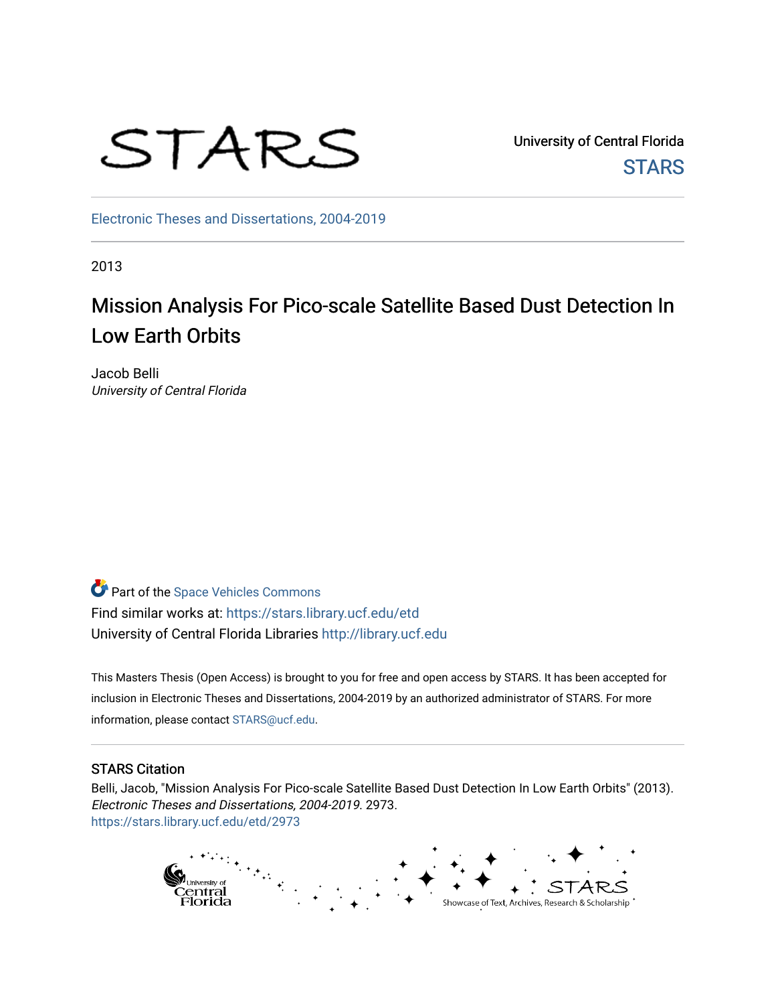

University of Central Florida **STARS** 

[Electronic Theses and Dissertations, 2004-2019](https://stars.library.ucf.edu/etd) 

2013

# Mission Analysis For Pico-scale Satellite Based Dust Detection In Low Earth Orbits

Jacob Belli University of Central Florida

Part of the [Space Vehicles Commons](http://network.bepress.com/hgg/discipline/220?utm_source=stars.library.ucf.edu%2Fetd%2F2973&utm_medium=PDF&utm_campaign=PDFCoverPages) Find similar works at: <https://stars.library.ucf.edu/etd> University of Central Florida Libraries [http://library.ucf.edu](http://library.ucf.edu/) 

This Masters Thesis (Open Access) is brought to you for free and open access by STARS. It has been accepted for inclusion in Electronic Theses and Dissertations, 2004-2019 by an authorized administrator of STARS. For more information, please contact [STARS@ucf.edu.](mailto:STARS@ucf.edu)

#### STARS Citation

Belli, Jacob, "Mission Analysis For Pico-scale Satellite Based Dust Detection In Low Earth Orbits" (2013). Electronic Theses and Dissertations, 2004-2019. 2973. [https://stars.library.ucf.edu/etd/2973](https://stars.library.ucf.edu/etd/2973?utm_source=stars.library.ucf.edu%2Fetd%2F2973&utm_medium=PDF&utm_campaign=PDFCoverPages) 

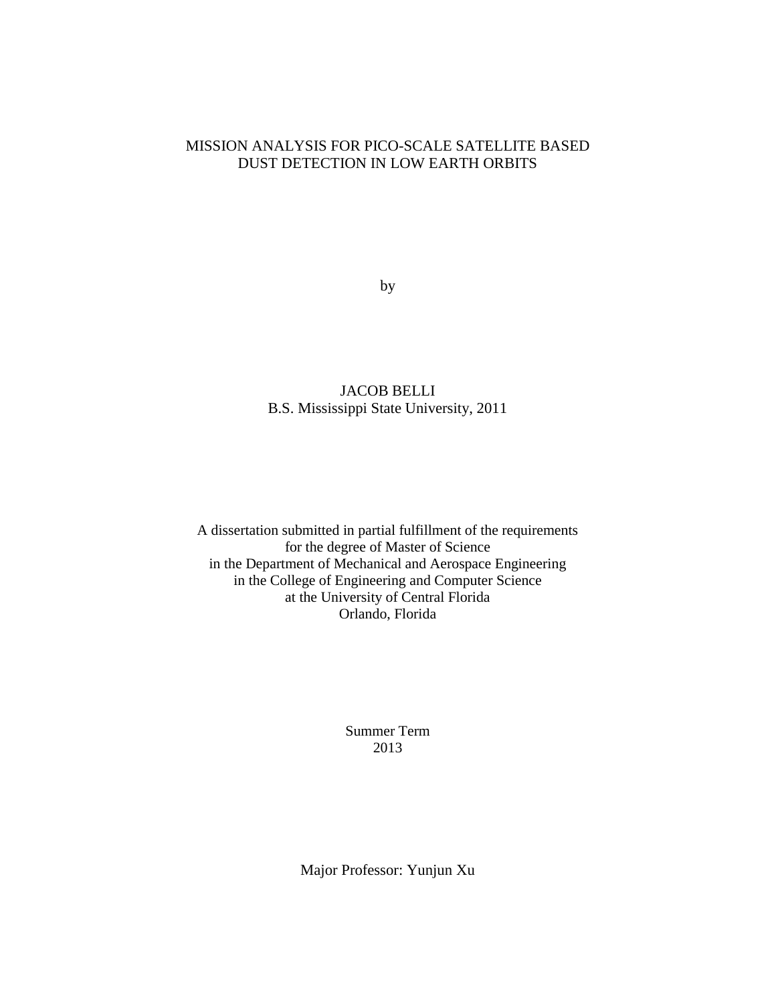## MISSION ANALYSIS FOR PICO-SCALE SATELLITE BASED DUST DETECTION IN LOW EARTH ORBITS

by

## JACOB BELLI B.S. Mississippi State University, 2011

A dissertation submitted in partial fulfillment of the requirements for the degree of Master of Science in the Department of Mechanical and Aerospace Engineering in the College of Engineering and Computer Science at the University of Central Florida Orlando, Florida

> Summer Term 2013

Major Professor: Yunjun Xu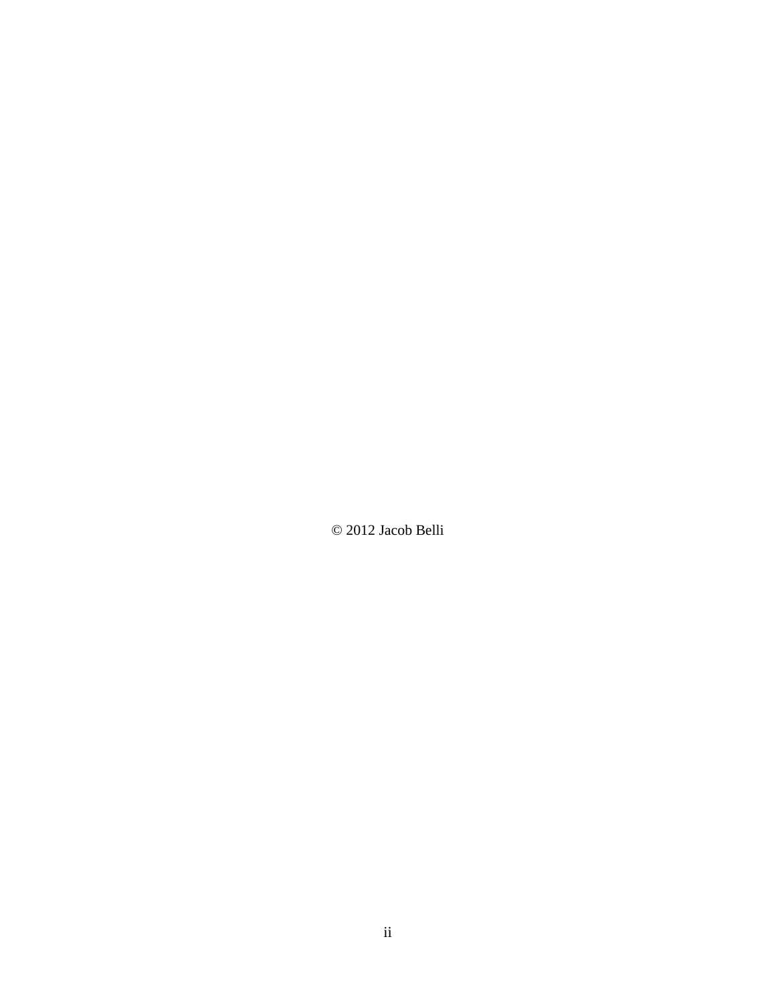© 2012 Jacob Belli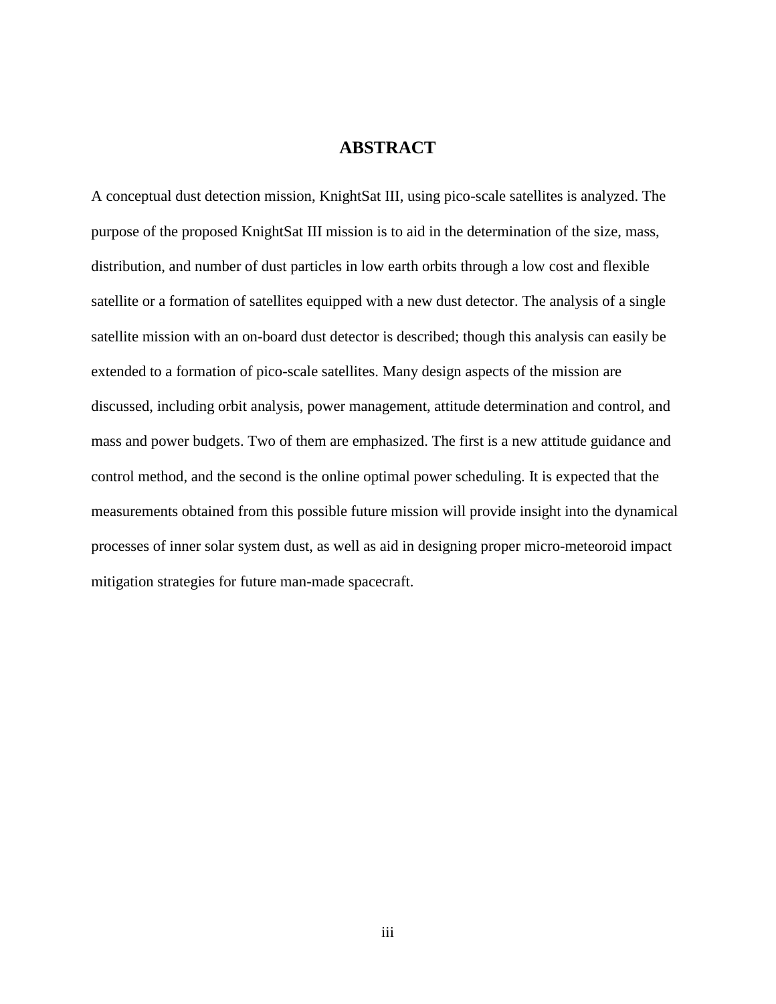## **ABSTRACT**

A conceptual dust detection mission, KnightSat III, using pico-scale satellites is analyzed. The purpose of the proposed KnightSat III mission is to aid in the determination of the size, mass, distribution, and number of dust particles in low earth orbits through a low cost and flexible satellite or a formation of satellites equipped with a new dust detector. The analysis of a single satellite mission with an on-board dust detector is described; though this analysis can easily be extended to a formation of pico-scale satellites. Many design aspects of the mission are discussed, including orbit analysis, power management, attitude determination and control, and mass and power budgets. Two of them are emphasized. The first is a new attitude guidance and control method, and the second is the online optimal power scheduling. It is expected that the measurements obtained from this possible future mission will provide insight into the dynamical processes of inner solar system dust, as well as aid in designing proper micro-meteoroid impact mitigation strategies for future man-made spacecraft.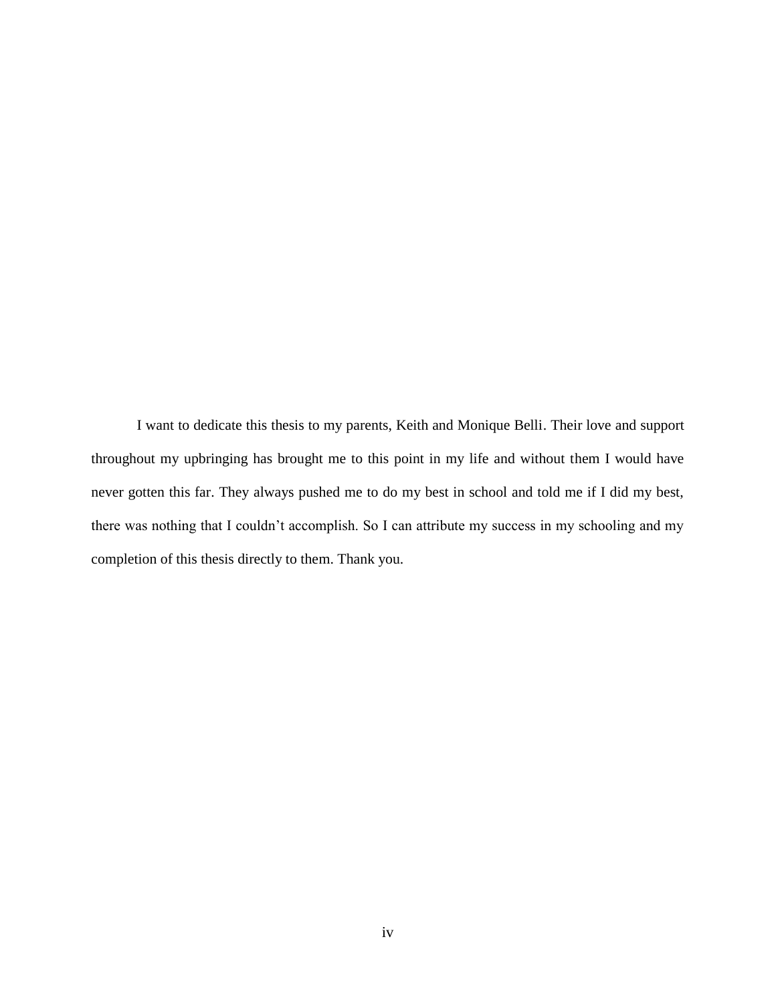I want to dedicate this thesis to my parents, Keith and Monique Belli. Their love and support throughout my upbringing has brought me to this point in my life and without them I would have never gotten this far. They always pushed me to do my best in school and told me if I did my best, there was nothing that I couldn't accomplish. So I can attribute my success in my schooling and my completion of this thesis directly to them. Thank you.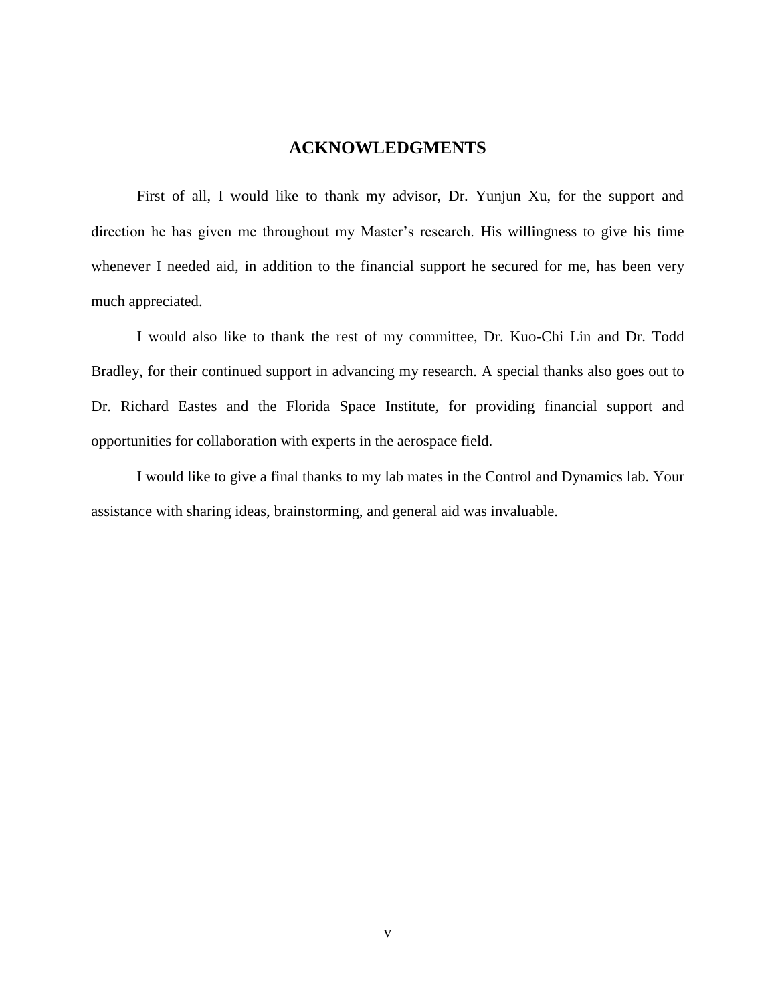## **ACKNOWLEDGMENTS**

First of all, I would like to thank my advisor, Dr. Yunjun Xu, for the support and direction he has given me throughout my Master's research. His willingness to give his time whenever I needed aid, in addition to the financial support he secured for me, has been very much appreciated.

I would also like to thank the rest of my committee, Dr. Kuo-Chi Lin and Dr. Todd Bradley, for their continued support in advancing my research. A special thanks also goes out to Dr. Richard Eastes and the Florida Space Institute, for providing financial support and opportunities for collaboration with experts in the aerospace field.

I would like to give a final thanks to my lab mates in the Control and Dynamics lab. Your assistance with sharing ideas, brainstorming, and general aid was invaluable.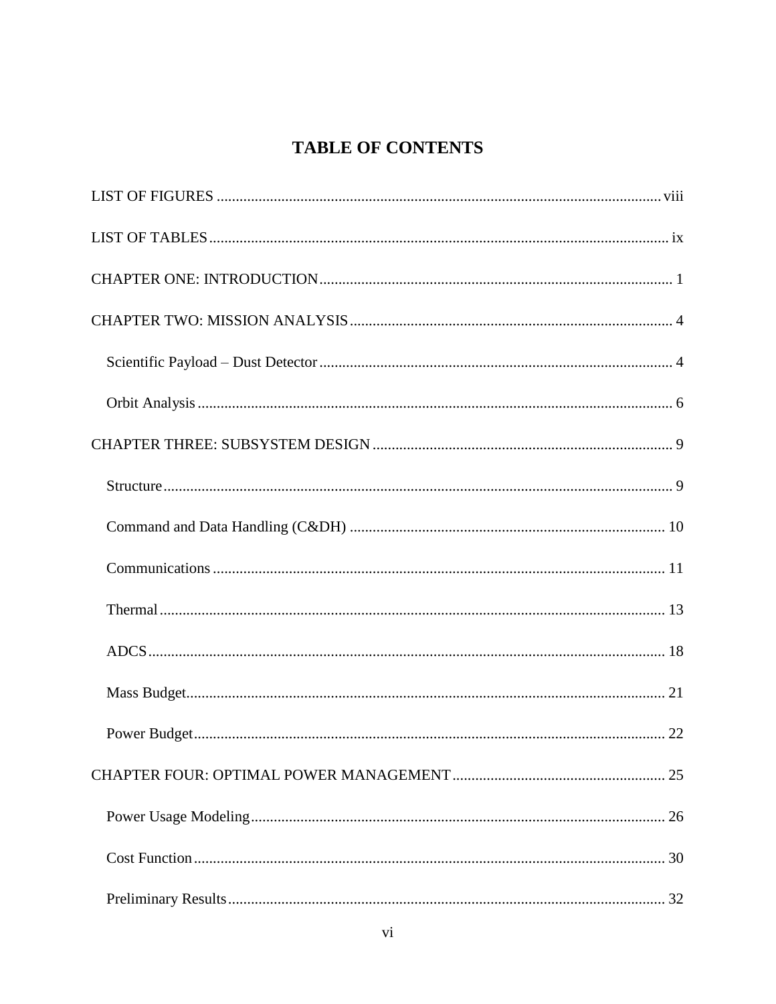## **TABLE OF CONTENTS**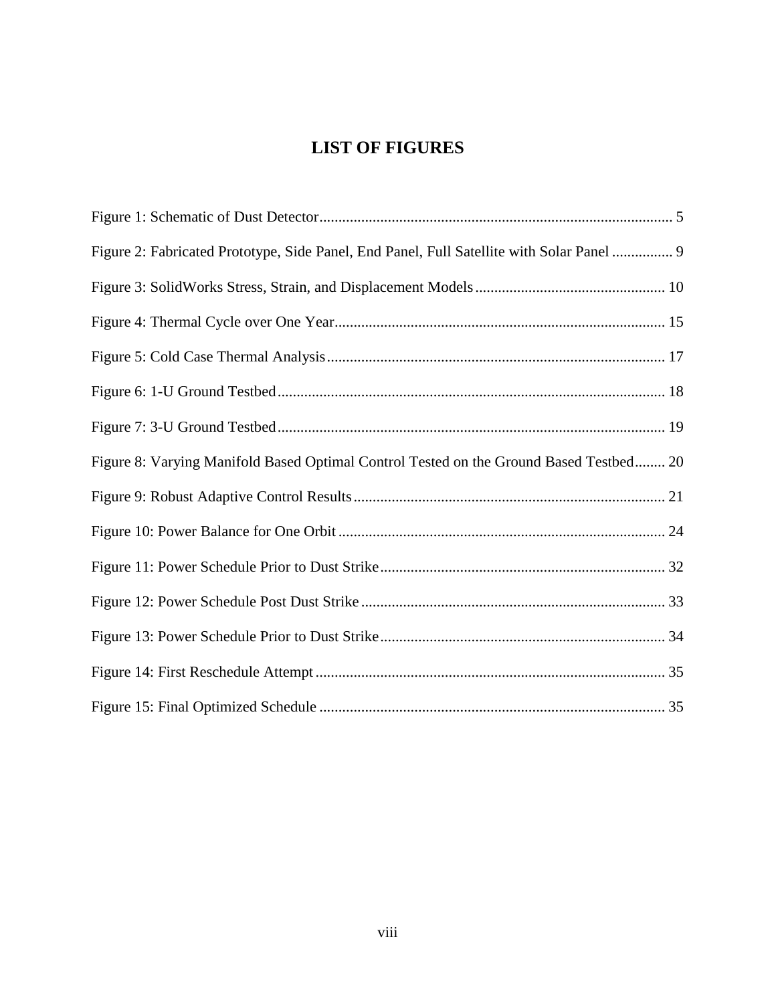## **LIST OF FIGURES**

<span id="page-8-0"></span>

| Figure 2: Fabricated Prototype, Side Panel, End Panel, Full Satellite with Solar Panel  9 |  |
|-------------------------------------------------------------------------------------------|--|
|                                                                                           |  |
|                                                                                           |  |
|                                                                                           |  |
|                                                                                           |  |
|                                                                                           |  |
| Figure 8: Varying Manifold Based Optimal Control Tested on the Ground Based Testbed 20    |  |
|                                                                                           |  |
|                                                                                           |  |
|                                                                                           |  |
|                                                                                           |  |
|                                                                                           |  |
|                                                                                           |  |
|                                                                                           |  |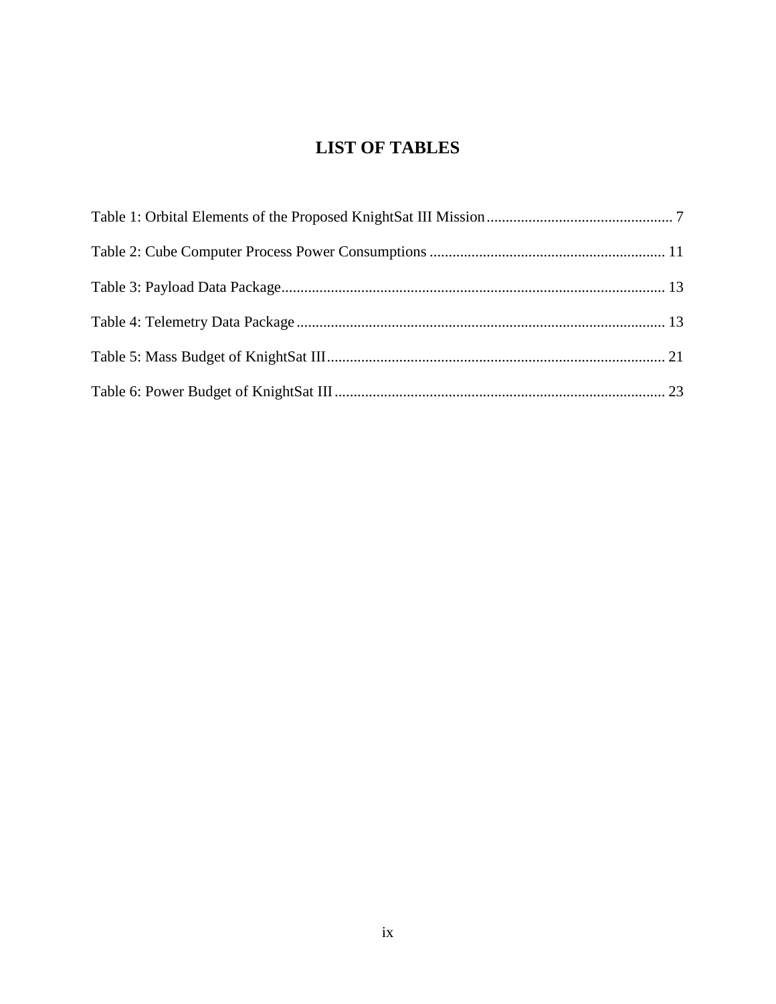## **LIST OF TABLES**

<span id="page-9-0"></span>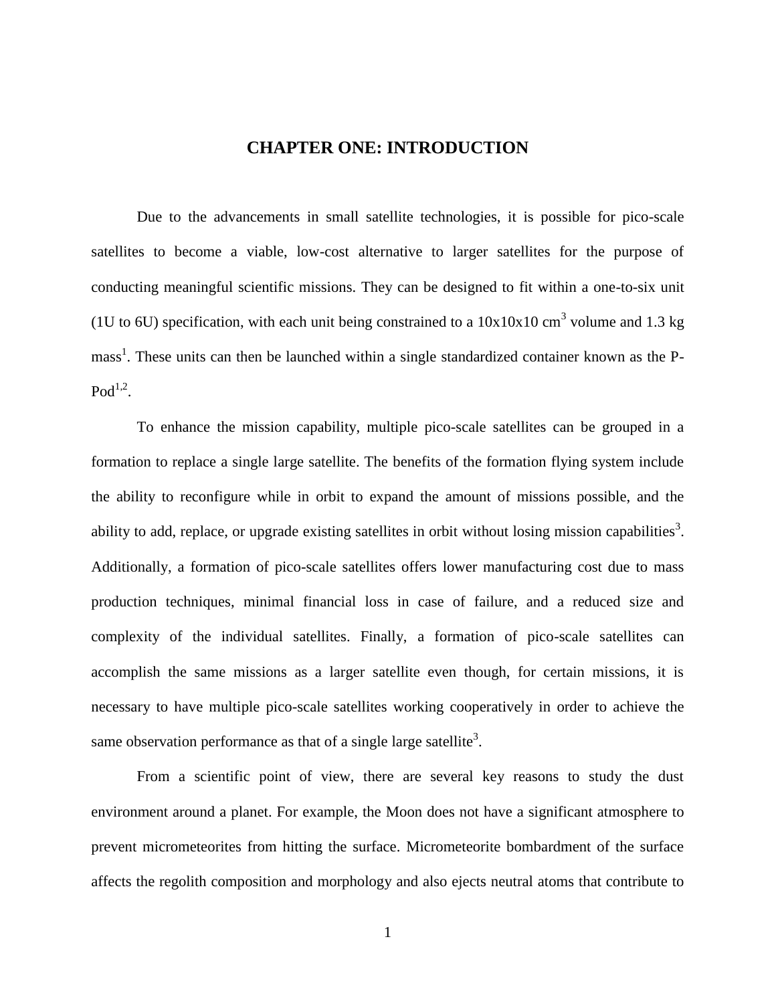## **CHAPTER ONE: INTRODUCTION**

<span id="page-10-0"></span>Due to the advancements in small satellite technologies, it is possible for pico-scale satellites to become a viable, low-cost alternative to larger satellites for the purpose of conducting meaningful scientific missions. They can be designed to fit within a one-to-six unit (1U to 6U) specification, with each unit being constrained to a  $10x10x10$  cm<sup>3</sup> volume and 1.3 kg mass<sup>1</sup>. These units can then be launched within a single standardized container known as the P- $\text{Pod}^{1,2}$ .

To enhance the mission capability, multiple pico-scale satellites can be grouped in a formation to replace a single large satellite. The benefits of the formation flying system include the ability to reconfigure while in orbit to expand the amount of missions possible, and the ability to add, replace, or upgrade existing satellites in orbit without losing mission capabilities<sup>3</sup>. Additionally, a formation of pico-scale satellites offers lower manufacturing cost due to mass production techniques, minimal financial loss in case of failure, and a reduced size and complexity of the individual satellites. Finally, a formation of pico-scale satellites can accomplish the same missions as a larger satellite even though, for certain missions, it is necessary to have multiple pico-scale satellites working cooperatively in order to achieve the same observation performance as that of a single large satellite<sup>3</sup>.

From a scientific point of view, there are several key reasons to study the dust environment around a planet. For example, the Moon does not have a significant atmosphere to prevent micrometeorites from hitting the surface. Micrometeorite bombardment of the surface affects the regolith composition and morphology and also ejects neutral atoms that contribute to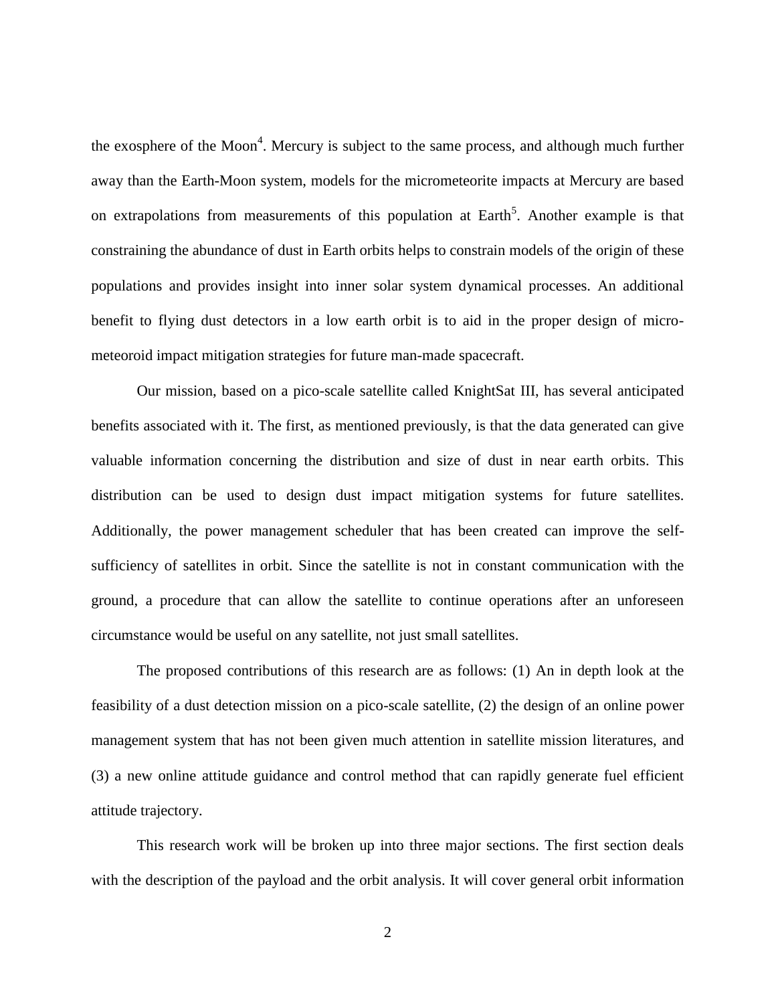the exosphere of the Moon<sup>4</sup>. Mercury is subject to the same process, and although much further away than the Earth-Moon system, models for the micrometeorite impacts at Mercury are based on extrapolations from measurements of this population at Earth<sup>5</sup>. Another example is that constraining the abundance of dust in Earth orbits helps to constrain models of the origin of these populations and provides insight into inner solar system dynamical processes. An additional benefit to flying dust detectors in a low earth orbit is to aid in the proper design of micrometeoroid impact mitigation strategies for future man-made spacecraft.

Our mission, based on a pico-scale satellite called KnightSat III, has several anticipated benefits associated with it. The first, as mentioned previously, is that the data generated can give valuable information concerning the distribution and size of dust in near earth orbits. This distribution can be used to design dust impact mitigation systems for future satellites. Additionally, the power management scheduler that has been created can improve the selfsufficiency of satellites in orbit. Since the satellite is not in constant communication with the ground, a procedure that can allow the satellite to continue operations after an unforeseen circumstance would be useful on any satellite, not just small satellites.

The proposed contributions of this research are as follows: (1) An in depth look at the feasibility of a dust detection mission on a pico-scale satellite, (2) the design of an online power management system that has not been given much attention in satellite mission literatures, and (3) a new online attitude guidance and control method that can rapidly generate fuel efficient attitude trajectory.

This research work will be broken up into three major sections. The first section deals with the description of the payload and the orbit analysis. It will cover general orbit information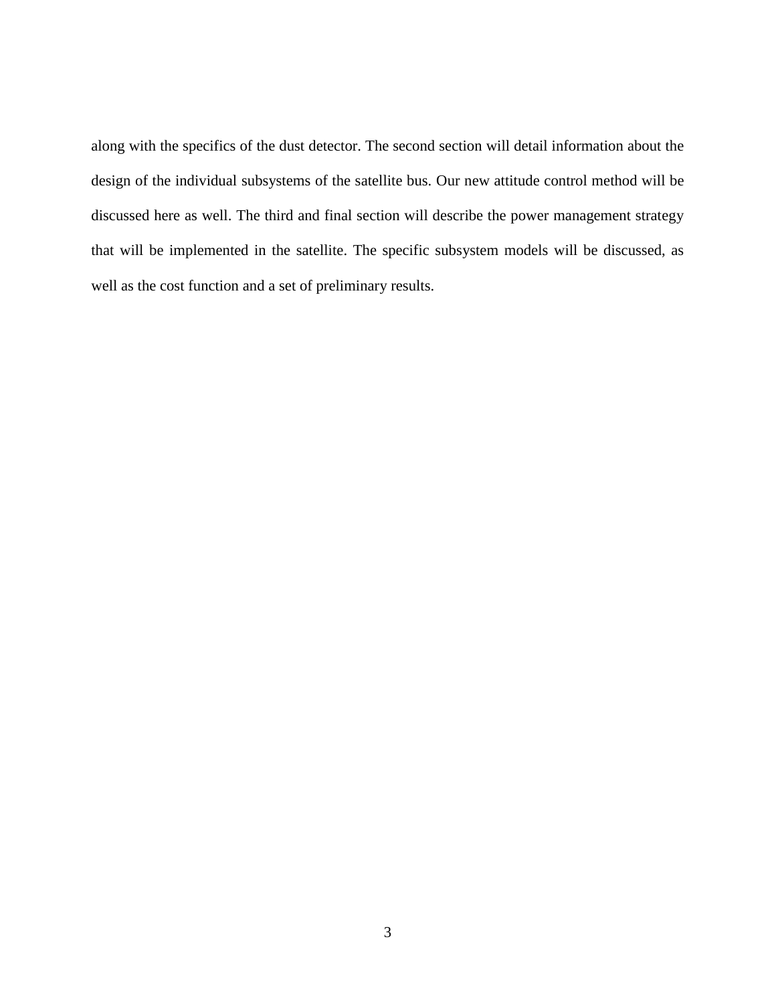along with the specifics of the dust detector. The second section will detail information about the design of the individual subsystems of the satellite bus. Our new attitude control method will be discussed here as well. The third and final section will describe the power management strategy that will be implemented in the satellite. The specific subsystem models will be discussed, as well as the cost function and a set of preliminary results.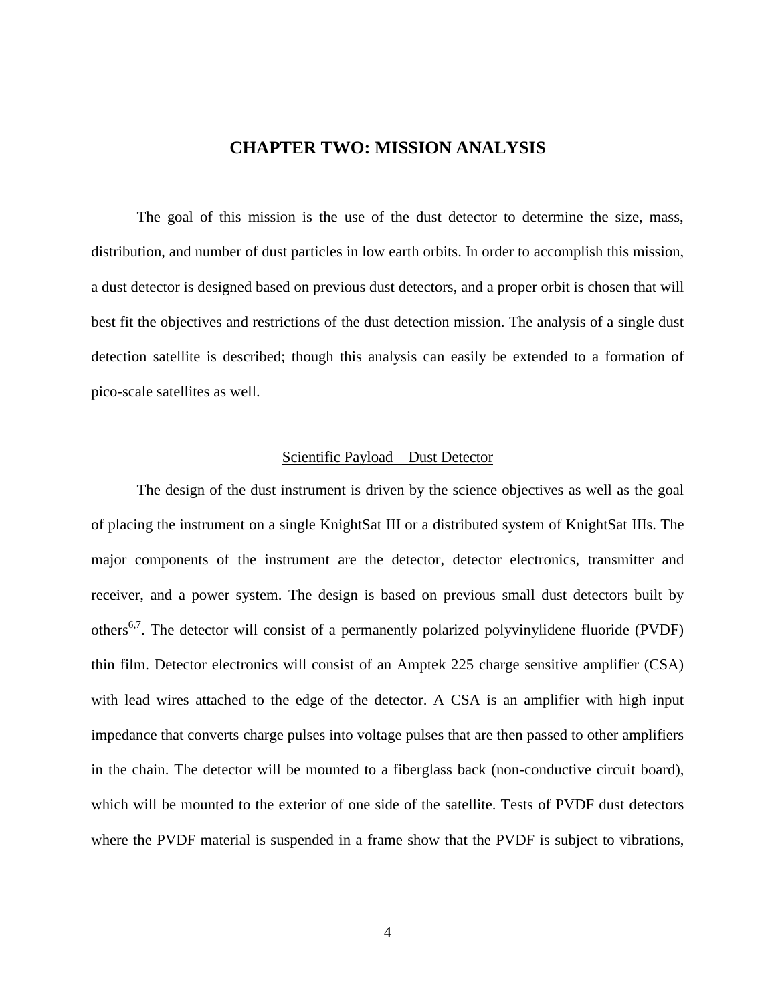### **CHAPTER TWO: MISSION ANALYSIS**

<span id="page-13-0"></span>The goal of this mission is the use of the dust detector to determine the size, mass, distribution, and number of dust particles in low earth orbits. In order to accomplish this mission, a dust detector is designed based on previous dust detectors, and a proper orbit is chosen that will best fit the objectives and restrictions of the dust detection mission. The analysis of a single dust detection satellite is described; though this analysis can easily be extended to a formation of pico-scale satellites as well.

#### Scientific Payload – Dust Detector

<span id="page-13-1"></span>The design of the dust instrument is driven by the science objectives as well as the goal of placing the instrument on a single KnightSat III or a distributed system of KnightSat IIIs. The major components of the instrument are the detector, detector electronics, transmitter and receiver, and a power system. The design is based on previous small dust detectors built by others<sup>6,7</sup>. The detector will consist of a permanently polarized polyvinylidene fluoride (PVDF) thin film. Detector electronics will consist of an Amptek 225 charge sensitive amplifier (CSA) with lead wires attached to the edge of the detector. A CSA is an amplifier with high input impedance that converts charge pulses into voltage pulses that are then passed to other amplifiers in the chain. The detector will be mounted to a fiberglass back (non-conductive circuit board), which will be mounted to the exterior of one side of the satellite. Tests of PVDF dust detectors where the PVDF material is suspended in a frame show that the PVDF is subject to vibrations,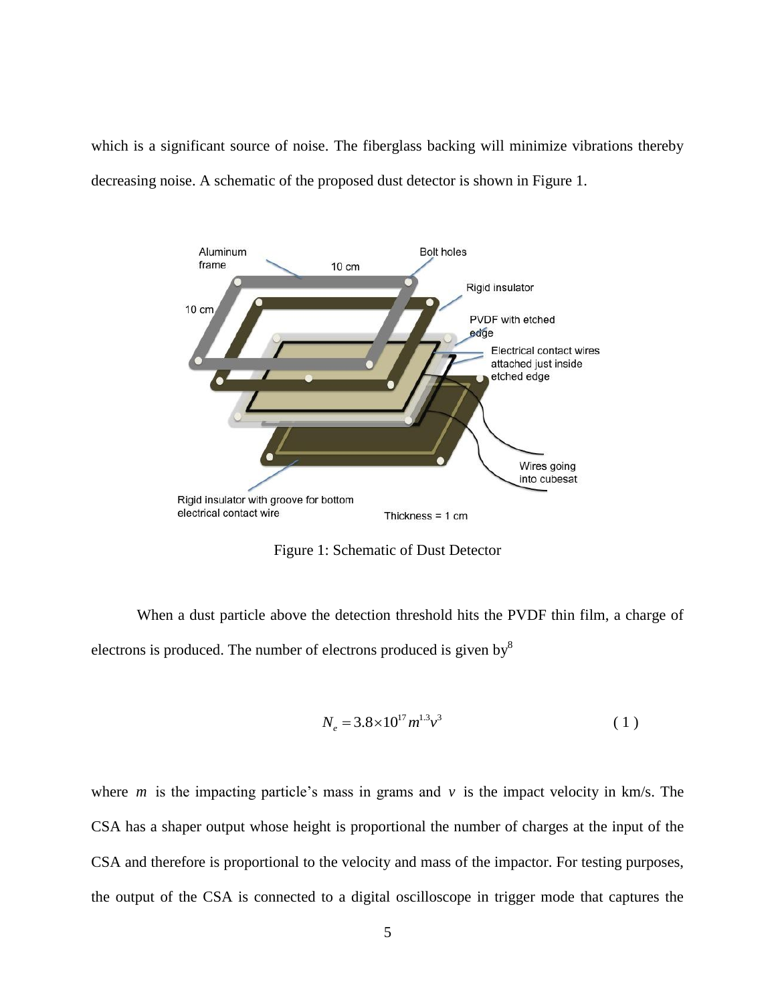which is a significant source of noise. The fiberglass backing will minimize vibrations thereby decreasing noise. A schematic of the proposed dust detector is shown in Figure 1.



Figure 1: Schematic of Dust Detector

<span id="page-14-0"></span>When a dust particle above the detection threshold hits the PVDF thin film, a charge of electrons is produced. The number of electrons produced is given by <sup>8</sup>

$$
N_e = 3.8 \times 10^{17} m^{1.3} v^3 \tag{1}
$$

where  $m$  is the impacting particle's mass in grams and  $v$  is the impact velocity in  $km/s$ . The CSA has a shaper output whose height is proportional the number of charges at the input of the CSA and therefore is proportional to the velocity and mass of the impactor. For testing purposes, the output of the CSA is connected to a digital oscilloscope in trigger mode that captures the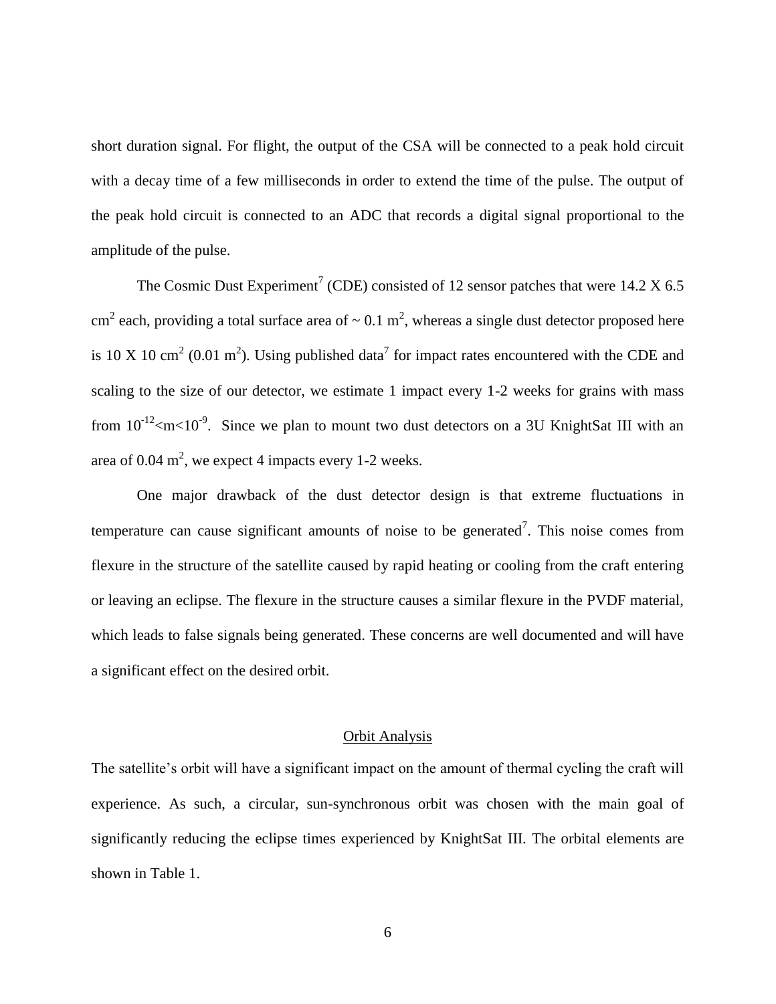short duration signal. For flight, the output of the CSA will be connected to a peak hold circuit with a decay time of a few milliseconds in order to extend the time of the pulse. The output of the peak hold circuit is connected to an ADC that records a digital signal proportional to the amplitude of the pulse.

The Cosmic Dust Experiment<sup>7</sup> (CDE) consisted of 12 sensor patches that were 14.2 X 6.5 cm<sup>2</sup> each, providing a total surface area of  $\sim 0.1$  m<sup>2</sup>, whereas a single dust detector proposed here is 10 X 10 cm<sup>2</sup> (0.01 m<sup>2</sup>). Using published data<sup>7</sup> for impact rates encountered with the CDE and scaling to the size of our detector, we estimate 1 impact every 1-2 weeks for grains with mass from  $10^{-12}$  <m < 10<sup>-9</sup>. Since we plan to mount two dust detectors on a 3U KnightSat III with an area of 0.04  $m^2$ , we expect 4 impacts every 1-2 weeks.

One major drawback of the dust detector design is that extreme fluctuations in temperature can cause significant amounts of noise to be generated<sup>7</sup>. This noise comes from flexure in the structure of the satellite caused by rapid heating or cooling from the craft entering or leaving an eclipse. The flexure in the structure causes a similar flexure in the PVDF material, which leads to false signals being generated. These concerns are well documented and will have a significant effect on the desired orbit.

#### Orbit Analysis

<span id="page-15-0"></span>The satellite's orbit will have a significant impact on the amount of thermal cycling the craft will experience. As such, a circular, sun-synchronous orbit was chosen with the main goal of significantly reducing the eclipse times experienced by KnightSat III. The orbital elements are shown in Table 1.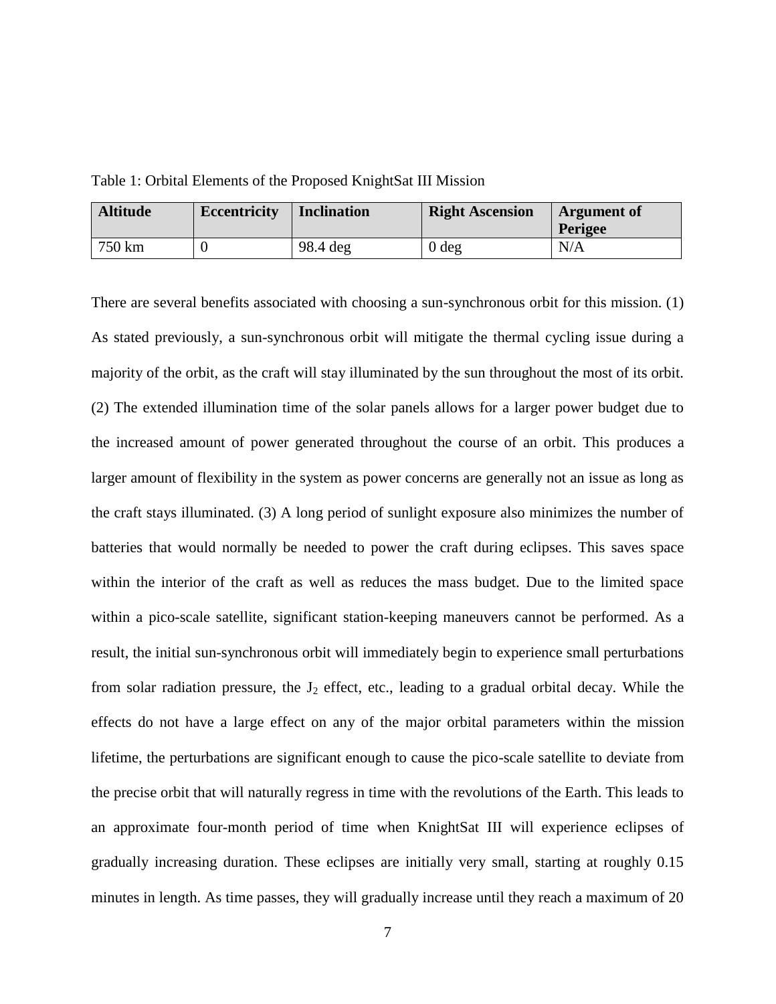<span id="page-16-0"></span>Table 1: Orbital Elements of the Proposed KnightSat III Mission

| <b>Altitude</b> | <b>Eccentricity</b> | <b>Inclination</b> | <b>Right Ascension</b> | <b>Argument of</b><br><b>Perigee</b> |
|-----------------|---------------------|--------------------|------------------------|--------------------------------------|
| 750 km          |                     | 98.4 deg           | 0 <sub>deg</sub>       | N/A                                  |

There are several benefits associated with choosing a sun-synchronous orbit for this mission. (1) As stated previously, a sun-synchronous orbit will mitigate the thermal cycling issue during a majority of the orbit, as the craft will stay illuminated by the sun throughout the most of its orbit. (2) The extended illumination time of the solar panels allows for a larger power budget due to the increased amount of power generated throughout the course of an orbit. This produces a larger amount of flexibility in the system as power concerns are generally not an issue as long as the craft stays illuminated. (3) A long period of sunlight exposure also minimizes the number of batteries that would normally be needed to power the craft during eclipses. This saves space within the interior of the craft as well as reduces the mass budget. Due to the limited space within a pico-scale satellite, significant station-keeping maneuvers cannot be performed. As a result, the initial sun-synchronous orbit will immediately begin to experience small perturbations from solar radiation pressure, the  $J_2$  effect, etc., leading to a gradual orbital decay. While the effects do not have a large effect on any of the major orbital parameters within the mission lifetime, the perturbations are significant enough to cause the pico-scale satellite to deviate from the precise orbit that will naturally regress in time with the revolutions of the Earth. This leads to an approximate four-month period of time when KnightSat III will experience eclipses of gradually increasing duration. These eclipses are initially very small, starting at roughly 0.15 minutes in length. As time passes, they will gradually increase until they reach a maximum of 20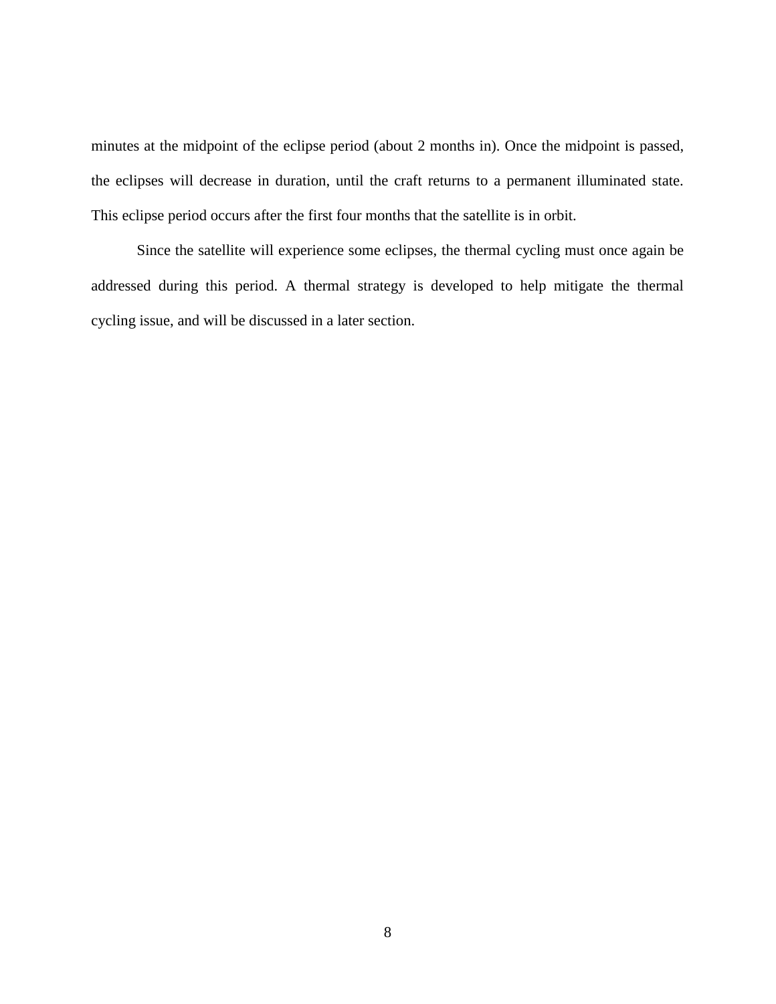minutes at the midpoint of the eclipse period (about 2 months in). Once the midpoint is passed, the eclipses will decrease in duration, until the craft returns to a permanent illuminated state. This eclipse period occurs after the first four months that the satellite is in orbit.

Since the satellite will experience some eclipses, the thermal cycling must once again be addressed during this period. A thermal strategy is developed to help mitigate the thermal cycling issue, and will be discussed in a later section.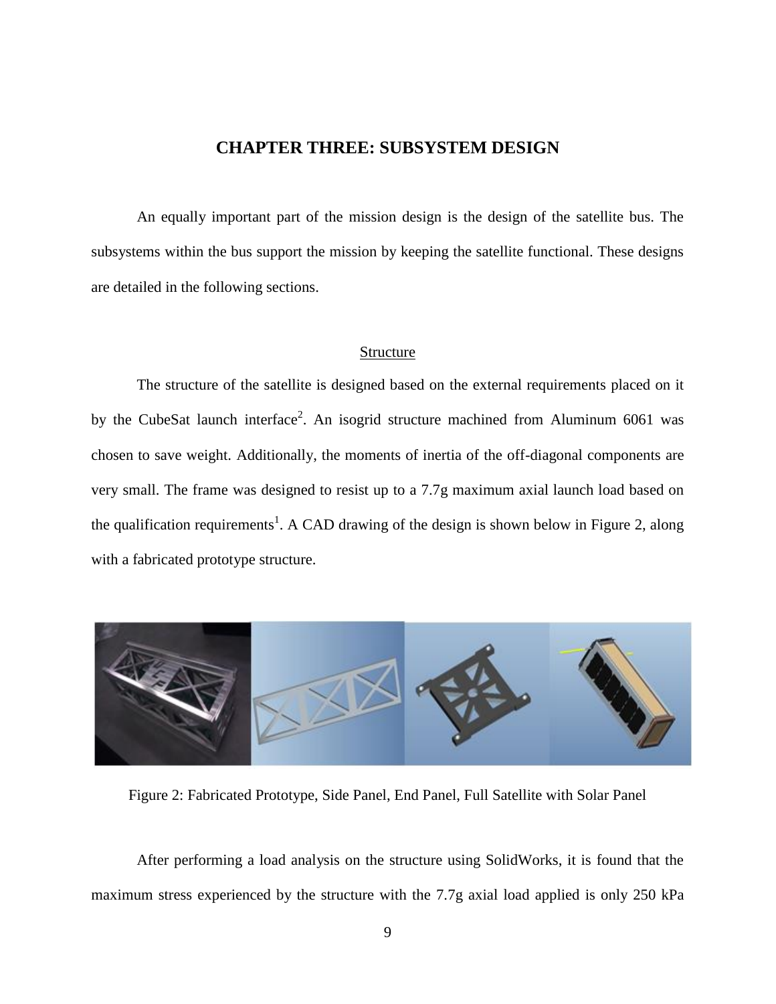## **CHAPTER THREE: SUBSYSTEM DESIGN**

<span id="page-18-0"></span>An equally important part of the mission design is the design of the satellite bus. The subsystems within the bus support the mission by keeping the satellite functional. These designs are detailed in the following sections.

#### Structure

<span id="page-18-1"></span>The structure of the satellite is designed based on the external requirements placed on it by the CubeSat launch interface<sup>2</sup>. An isogrid structure machined from Aluminum 6061 was chosen to save weight. Additionally, the moments of inertia of the off-diagonal components are very small. The frame was designed to resist up to a 7.7g maximum axial launch load based on the qualification requirements<sup>1</sup>. A CAD drawing of the design is shown below in Figure 2, along with a fabricated prototype structure.



Figure 2: Fabricated Prototype, Side Panel, End Panel, Full Satellite with Solar Panel

<span id="page-18-2"></span>After performing a load analysis on the structure using SolidWorks, it is found that the maximum stress experienced by the structure with the 7.7g axial load applied is only 250 kPa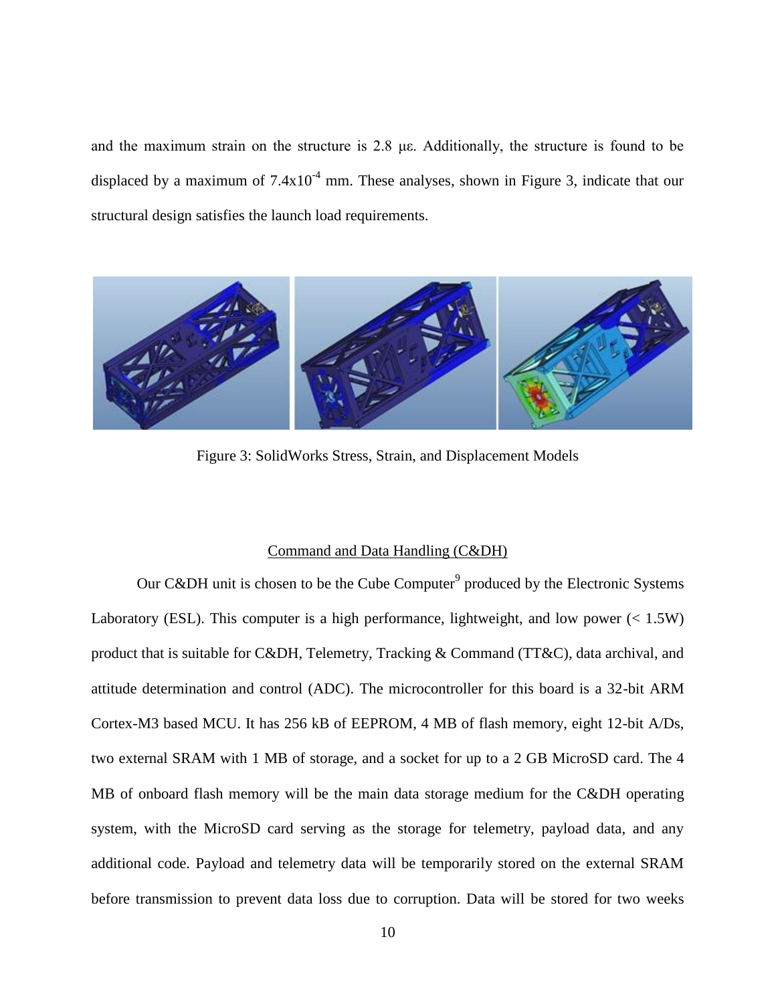and the maximum strain on the structure is 2.8 με. Additionally, the structure is found to be displaced by a maximum of  $7.4x10^{-4}$  mm. These analyses, shown in Figure 3, indicate that our structural design satisfies the launch load requirements.



Figure 3: SolidWorks Stress, Strain, and Displacement Models

### Command and Data Handling (C&DH)

<span id="page-19-1"></span><span id="page-19-0"></span>Our C&DH unit is chosen to be the Cube Computer<sup>9</sup> produced by the Electronic Systems Laboratory (ESL). This computer is a high performance, lightweight, and low power  $\ll 1.5W$ ) product that is suitable for C&DH, Telemetry, Tracking & Command (TT&C), data archival, and attitude determination and control (ADC). The microcontroller for this board is a 32-bit ARM Cortex-M3 based MCU. It has 256 kB of EEPROM, 4 MB of flash memory, eight 12-bit A/Ds, two external SRAM with 1 MB of storage, and a socket for up to a 2 GB MicroSD card. The 4 MB of onboard flash memory will be the main data storage medium for the C&DH operating system, with the MicroSD card serving as the storage for telemetry, payload data, and any additional code. Payload and telemetry data will be temporarily stored on the external SRAM before transmission to prevent data loss due to corruption. Data will be stored for two weeks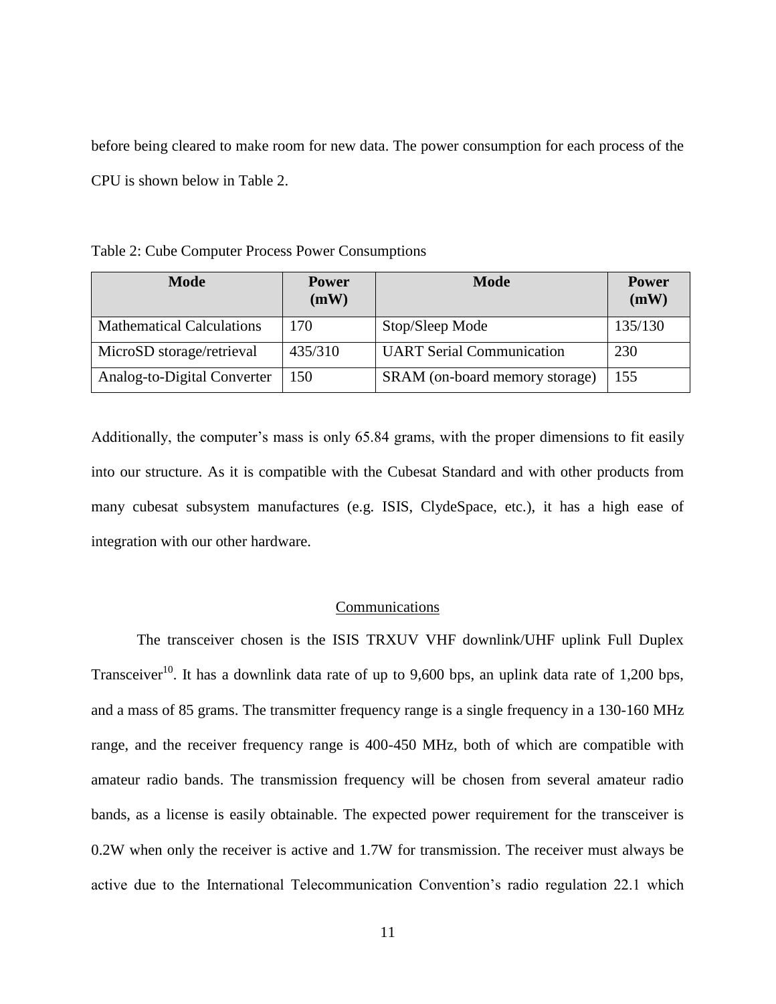before being cleared to make room for new data. The power consumption for each process of the CPU is shown below in Table 2.

<span id="page-20-1"></span>Table 2: Cube Computer Process Power Consumptions

| <b>Mode</b>                      | <b>Power</b><br>(mW) | <b>Mode</b>                      | <b>Power</b><br>(mW) |
|----------------------------------|----------------------|----------------------------------|----------------------|
| <b>Mathematical Calculations</b> | 170                  | Stop/Sleep Mode                  | 135/130              |
| MicroSD storage/retrieval        | 435/310              | <b>UART Serial Communication</b> | 230                  |
| Analog-to-Digital Converter      | 150                  | SRAM (on-board memory storage)   | 155                  |

Additionally, the computer's mass is only 65.84 grams, with the proper dimensions to fit easily into our structure. As it is compatible with the Cubesat Standard and with other products from many cubesat subsystem manufactures (e.g. ISIS, ClydeSpace, etc.), it has a high ease of integration with our other hardware.

#### Communications

<span id="page-20-0"></span>The transceiver chosen is the ISIS TRXUV VHF downlink/UHF uplink Full Duplex Transceiver<sup>10</sup>. It has a downlink data rate of up to 9,600 bps, an uplink data rate of 1,200 bps, and a mass of 85 grams. The transmitter frequency range is a single frequency in a 130-160 MHz range, and the receiver frequency range is 400-450 MHz, both of which are compatible with amateur radio bands. The transmission frequency will be chosen from several amateur radio bands, as a license is easily obtainable. The expected power requirement for the transceiver is 0.2W when only the receiver is active and 1.7W for transmission. The receiver must always be active due to the International Telecommunication Convention's radio regulation 22.1 which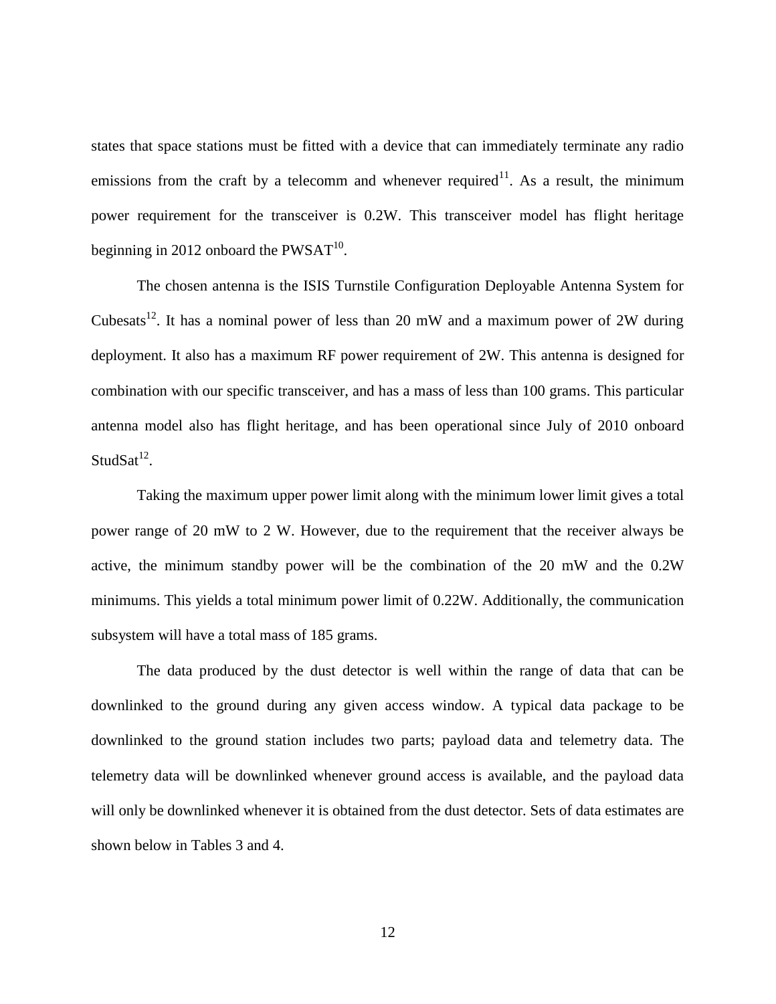states that space stations must be fitted with a device that can immediately terminate any radio emissions from the craft by a telecomm and whenever required<sup>11</sup>. As a result, the minimum power requirement for the transceiver is 0.2W. This transceiver model has flight heritage beginning in 2012 onboard the  $PWSAT^{10}$ .

The chosen antenna is the ISIS Turnstile Configuration Deployable Antenna System for Cubesats<sup>12</sup>. It has a nominal power of less than 20 mW and a maximum power of 2W during deployment. It also has a maximum RF power requirement of 2W. This antenna is designed for combination with our specific transceiver, and has a mass of less than 100 grams. This particular antenna model also has flight heritage, and has been operational since July of 2010 onboard  $StudSat<sup>12</sup>$ .

Taking the maximum upper power limit along with the minimum lower limit gives a total power range of 20 mW to 2 W. However, due to the requirement that the receiver always be active, the minimum standby power will be the combination of the 20 mW and the 0.2W minimums. This yields a total minimum power limit of 0.22W. Additionally, the communication subsystem will have a total mass of 185 grams.

The data produced by the dust detector is well within the range of data that can be downlinked to the ground during any given access window. A typical data package to be downlinked to the ground station includes two parts; payload data and telemetry data. The telemetry data will be downlinked whenever ground access is available, and the payload data will only be downlinked whenever it is obtained from the dust detector. Sets of data estimates are shown below in Tables 3 and 4.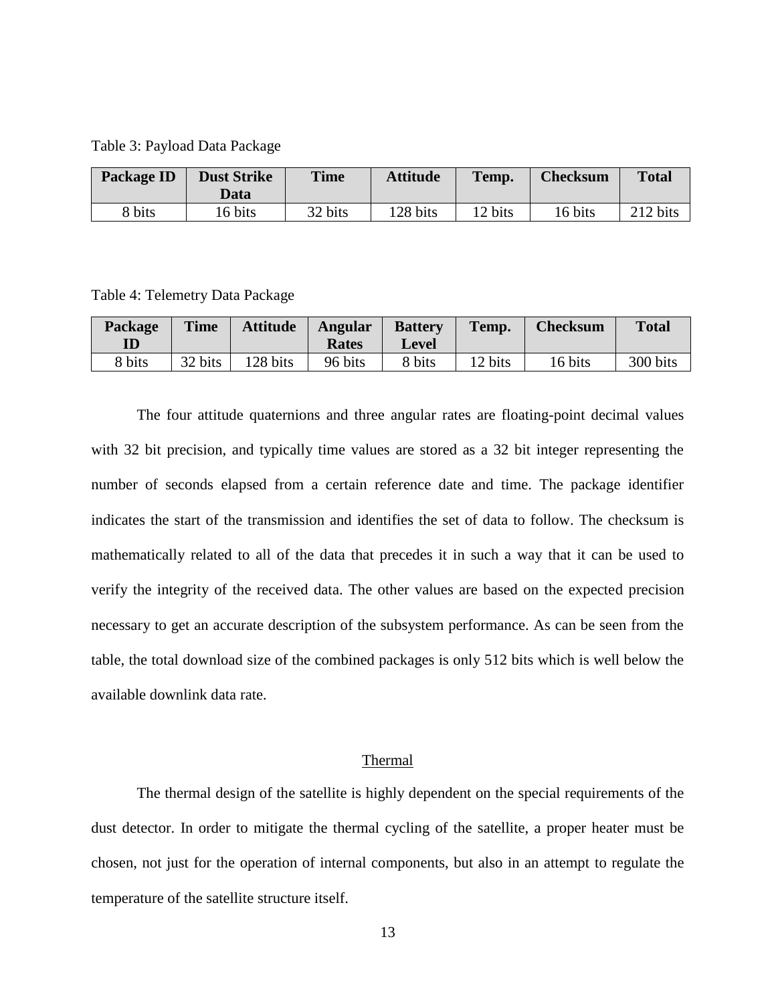<span id="page-22-1"></span>Table 3: Payload Data Package

| Package ID | <b>Dust Strike</b><br>Data | <b>Time</b> | <b>Attitude</b> | Temp.   | <b>Checksum</b> | <b>Total</b> |
|------------|----------------------------|-------------|-----------------|---------|-----------------|--------------|
| 8 bits     | 16 bits                    | 32 bits     | 128 bits        | 12 bits | 16 bits         | 212 bits     |

<span id="page-22-2"></span>Table 4: Telemetry Data Package

| Package<br>$\mathbf{ID}$ | <b>Time</b> | <b>Attitude</b> | <b>Angular</b><br><b>Rates</b> | <b>Battery</b><br><b>Level</b> | Temp.   | <b>Checksum</b> | <b>Total</b> |
|--------------------------|-------------|-----------------|--------------------------------|--------------------------------|---------|-----------------|--------------|
| 8 bits                   | 32 bits     | 128 bits        | 96 bits                        | 8 bits                         | 12 bits | 16 bits         | 300 bits     |

The four attitude quaternions and three angular rates are floating-point decimal values with 32 bit precision, and typically time values are stored as a 32 bit integer representing the number of seconds elapsed from a certain reference date and time. The package identifier indicates the start of the transmission and identifies the set of data to follow. The checksum is mathematically related to all of the data that precedes it in such a way that it can be used to verify the integrity of the received data. The other values are based on the expected precision necessary to get an accurate description of the subsystem performance. As can be seen from the table, the total download size of the combined packages is only 512 bits which is well below the available downlink data rate.

#### Thermal

<span id="page-22-0"></span>The thermal design of the satellite is highly dependent on the special requirements of the dust detector. In order to mitigate the thermal cycling of the satellite, a proper heater must be chosen, not just for the operation of internal components, but also in an attempt to regulate the temperature of the satellite structure itself.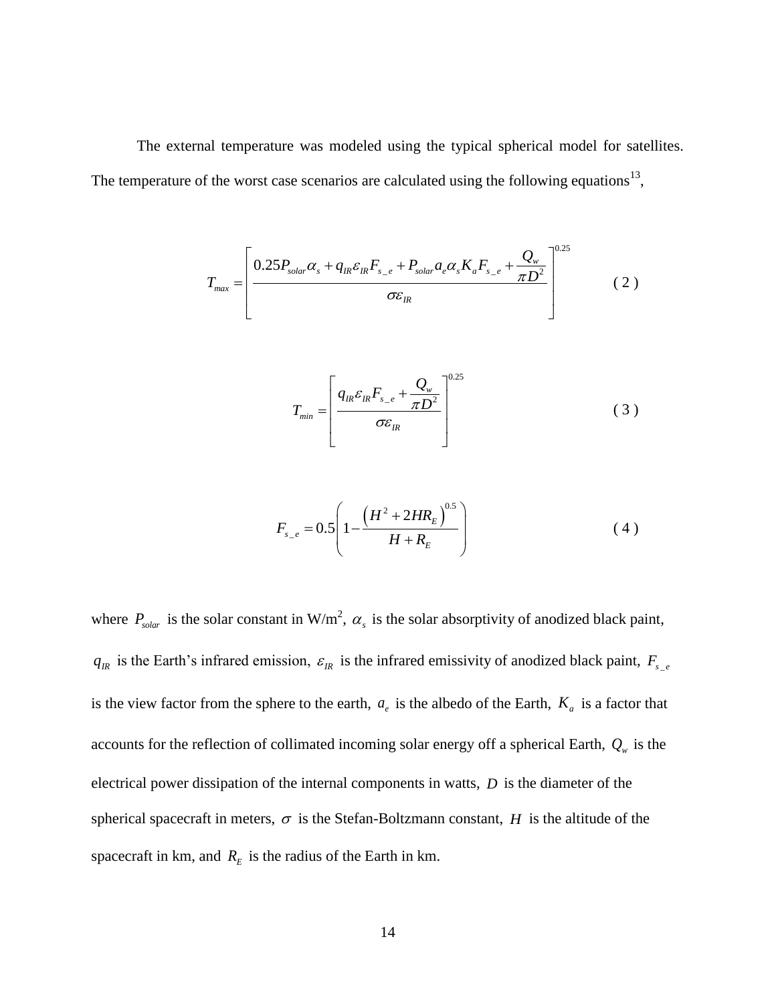The external temperature was modeled using the typical spherical model for satellites. The temperature of the worst case scenarios are calculated using the following equations<sup>13</sup>,

$$
T_{\text{max}} = \left[ \frac{0.25 P_{\text{solar}} \alpha_s + q_{\text{IR}} \varepsilon_{\text{IR}} F_{\text{s}_-e} + P_{\text{solar}} a_e \alpha_s K_a F_{\text{s}_-e} + \frac{Q_w}{\pi D^2}}{\sigma \varepsilon_{\text{IR}}} \right]^{0.25} \tag{2}
$$

$$
T_{min} = \left[ \frac{q_{IR}\varepsilon_{IR}F_{s_{-e}} + \frac{Q_w}{\pi D^2}}{\sigma \varepsilon_{IR}} \right]^{0.25}
$$
 (3)

$$
F_{s_{-}e} = 0.5 \left( 1 - \frac{\left( H^2 + 2HR_E \right)^{0.5}}{H + R_E} \right) \tag{4}
$$

where  $P_{solar}$  is the solar constant in W/m<sup>2</sup>,  $\alpha_s$  is the solar absorptivity of anodized black paint,  $q_R$  is the Earth's infrared emission,  $\varepsilon_R$  is the infrared emissivity of anodized black paint,  $F_{s_e}$ is the view factor from the sphere to the earth,  $a_e$  is the albedo of the Earth,  $K_a$  is a factor that accounts for the reflection of collimated incoming solar energy off a spherical Earth,  $Q_w$  is the electrical power dissipation of the internal components in watts, *D* is the diameter of the spherical spacecraft in meters,  $\sigma$  is the Stefan-Boltzmann constant, *H* is the altitude of the spacecraft in km, and  $R_E$  is the radius of the Earth in km.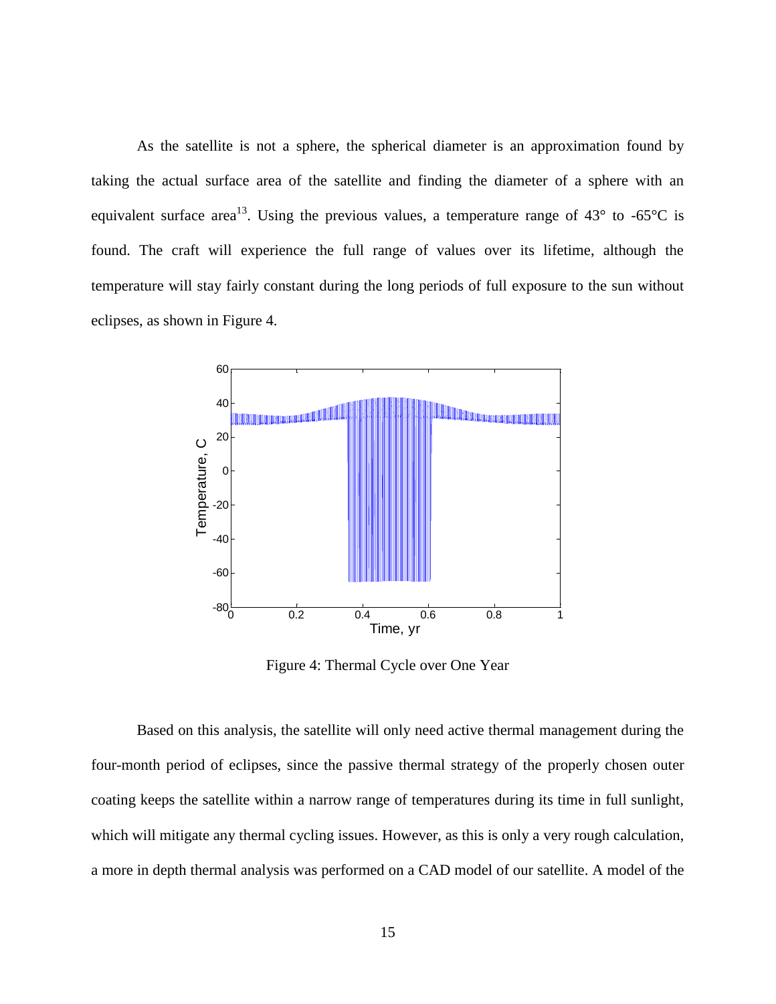As the satellite is not a sphere, the spherical diameter is an approximation found by taking the actual surface area of the satellite and finding the diameter of a sphere with an equivalent surface area<sup>13</sup>. Using the previous values, a temperature range of  $43^{\circ}$  to -65°C is found. The craft will experience the full range of values over its lifetime, although the temperature will stay fairly constant during the long periods of full exposure to the sun without eclipses, as shown in Figure 4.



Figure 4: Thermal Cycle over One Year

<span id="page-24-0"></span>Based on this analysis, the satellite will only need active thermal management during the four-month period of eclipses, since the passive thermal strategy of the properly chosen outer coating keeps the satellite within a narrow range of temperatures during its time in full sunlight, which will mitigate any thermal cycling issues. However, as this is only a very rough calculation, a more in depth thermal analysis was performed on a CAD model of our satellite. A model of the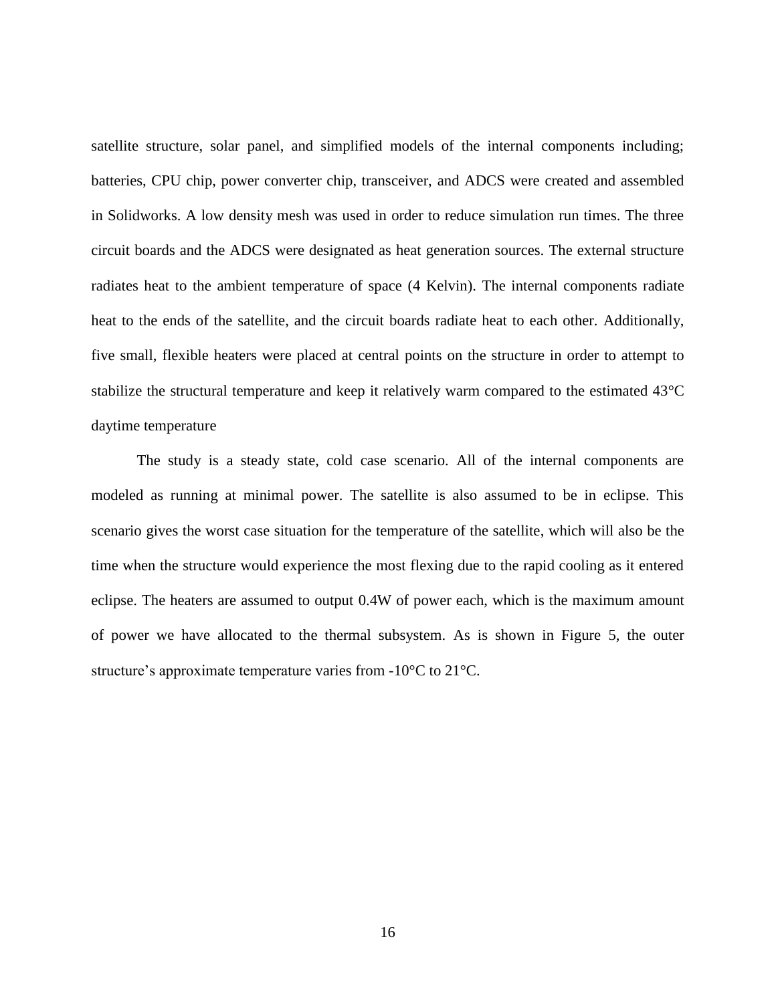satellite structure, solar panel, and simplified models of the internal components including; batteries, CPU chip, power converter chip, transceiver, and ADCS were created and assembled in Solidworks. A low density mesh was used in order to reduce simulation run times. The three circuit boards and the ADCS were designated as heat generation sources. The external structure radiates heat to the ambient temperature of space (4 Kelvin). The internal components radiate heat to the ends of the satellite, and the circuit boards radiate heat to each other. Additionally, five small, flexible heaters were placed at central points on the structure in order to attempt to stabilize the structural temperature and keep it relatively warm compared to the estimated 43°C daytime temperature

The study is a steady state, cold case scenario. All of the internal components are modeled as running at minimal power. The satellite is also assumed to be in eclipse. This scenario gives the worst case situation for the temperature of the satellite, which will also be the time when the structure would experience the most flexing due to the rapid cooling as it entered eclipse. The heaters are assumed to output 0.4W of power each, which is the maximum amount of power we have allocated to the thermal subsystem. As is shown in Figure 5, the outer structure's approximate temperature varies from -10°C to 21°C.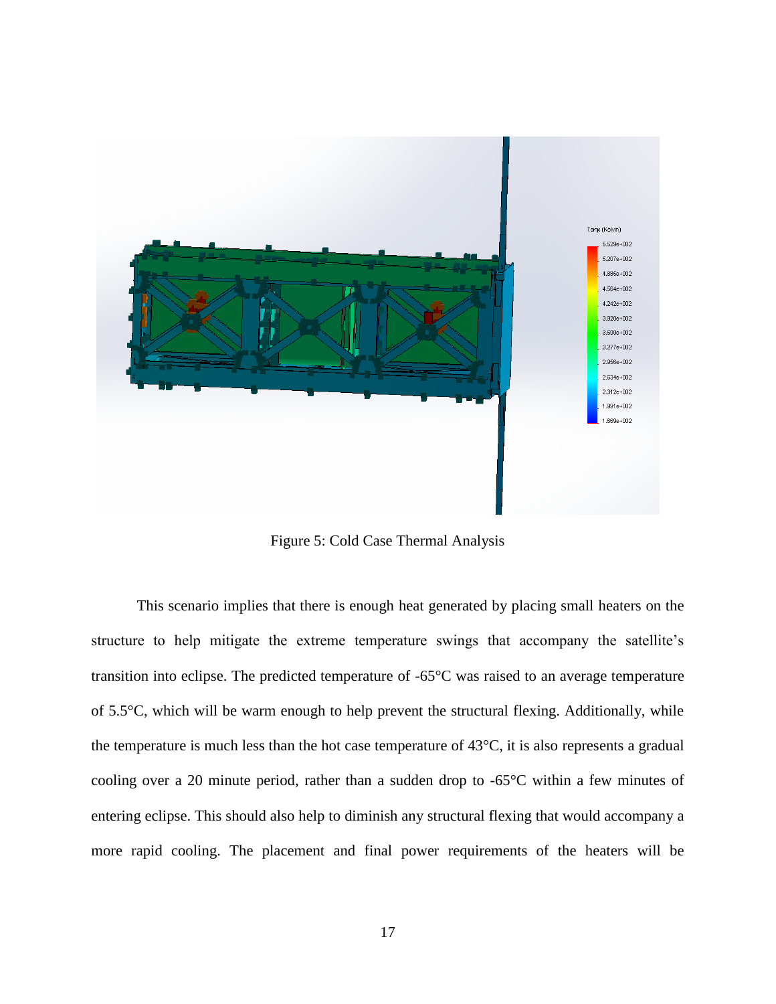

Figure 5: Cold Case Thermal Analysis

<span id="page-26-0"></span>This scenario implies that there is enough heat generated by placing small heaters on the structure to help mitigate the extreme temperature swings that accompany the satellite's transition into eclipse. The predicted temperature of -65°C was raised to an average temperature of 5.5°C, which will be warm enough to help prevent the structural flexing. Additionally, while the temperature is much less than the hot case temperature of 43°C, it is also represents a gradual cooling over a 20 minute period, rather than a sudden drop to -65°C within a few minutes of entering eclipse. This should also help to diminish any structural flexing that would accompany a more rapid cooling. The placement and final power requirements of the heaters will be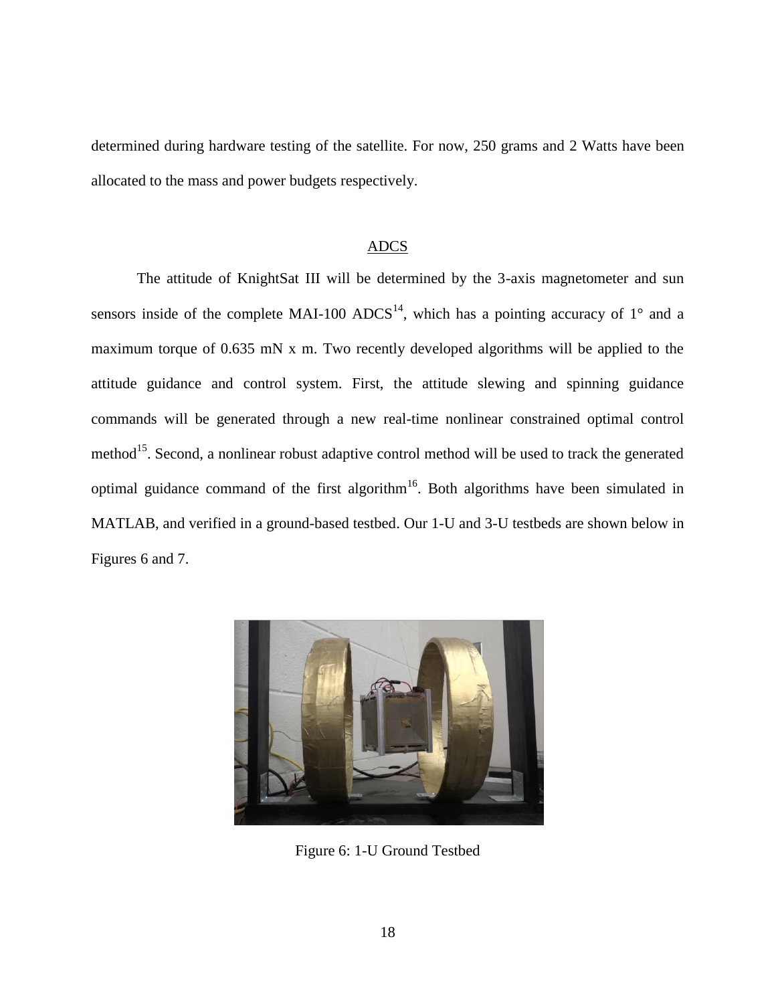determined during hardware testing of the satellite. For now, 250 grams and 2 Watts have been allocated to the mass and power budgets respectively.

#### ADCS

<span id="page-27-0"></span>The attitude of KnightSat III will be determined by the 3-axis magnetometer and sun sensors inside of the complete MAI-100 ADCS<sup>14</sup>, which has a pointing accuracy of  $1^{\circ}$  and a maximum torque of 0.635 mN x m. Two recently developed algorithms will be applied to the attitude guidance and control system. First, the attitude slewing and spinning guidance commands will be generated through a new real-time nonlinear constrained optimal control method<sup>15</sup>. Second, a nonlinear robust adaptive control method will be used to track the generated optimal guidance command of the first algorithm<sup>16</sup>. Both algorithms have been simulated in MATLAB, and verified in a ground-based testbed. Our 1-U and 3-U testbeds are shown below in Figures 6 and 7.

<span id="page-27-1"></span>

Figure 6: 1-U Ground Testbed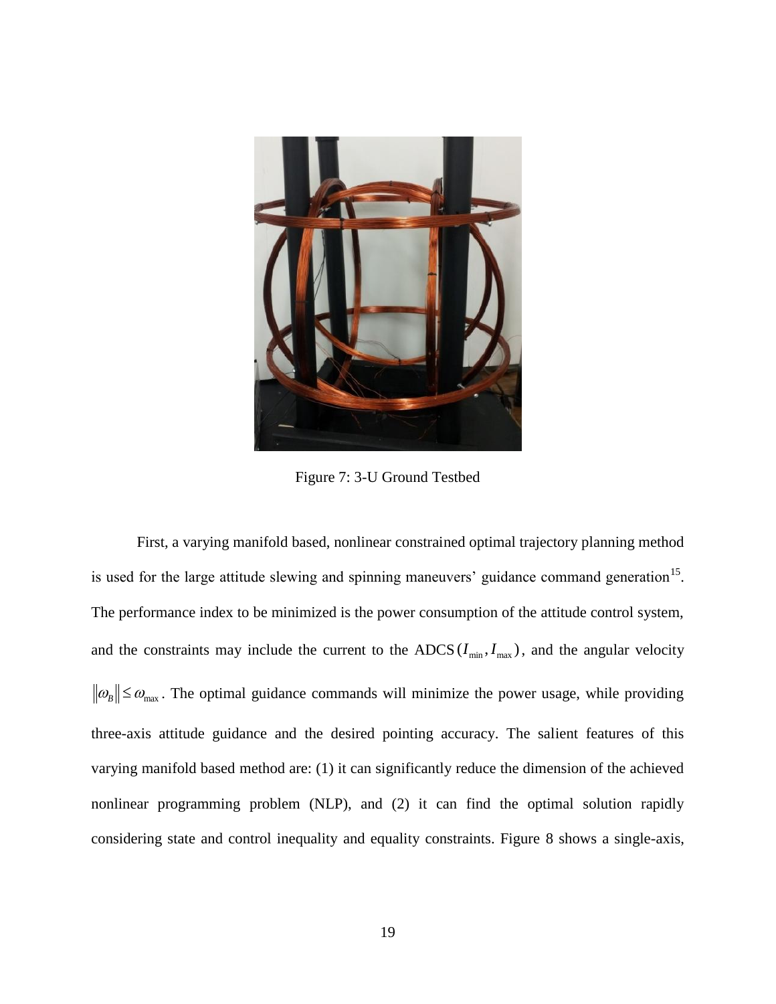

Figure 7: 3-U Ground Testbed

<span id="page-28-0"></span>First, a varying manifold based, nonlinear constrained optimal trajectory planning method is used for the large attitude slewing and spinning maneuvers' guidance command generation<sup>15</sup>. The performance index to be minimized is the power consumption of the attitude control system, and the constraints may include the current to the ADCS  $(I_{\min}, I_{\max})$ , and the angular velocity  $\mathcal{D}_B$   $\leq \mathcal{D}_{\text{max}}$ . The optimal guidance commands will minimize the power usage, while providing three-axis attitude guidance and the desired pointing accuracy. The salient features of this varying manifold based method are: (1) it can significantly reduce the dimension of the achieved nonlinear programming problem (NLP), and (2) it can find the optimal solution rapidly considering state and control inequality and equality constraints. Figure 8 shows a single-axis,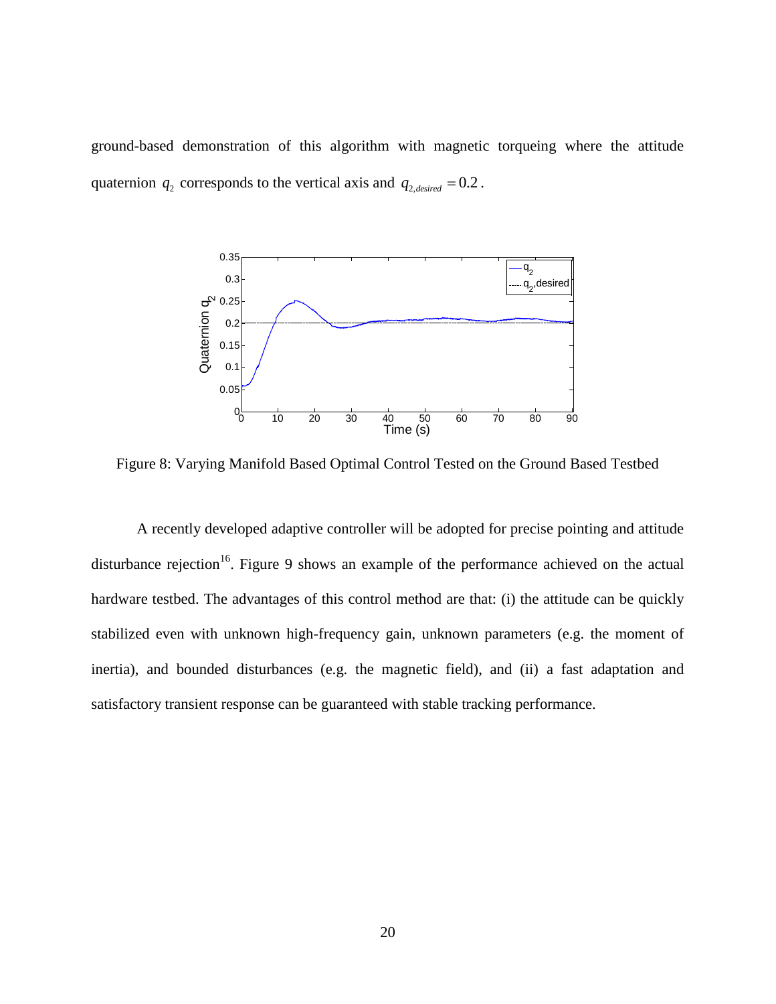ground-based demonstration of this algorithm with magnetic torqueing where the attitude quaternion  $q_2$  corresponds to the vertical axis and  $q_{2,desired} = 0.2$ .



<span id="page-29-0"></span>Figure 8: Varying Manifold Based Optimal Control Tested on the Ground Based Testbed

A recently developed adaptive controller will be adopted for precise pointing and attitude disturbance rejection<sup>16</sup>. Figure 9 shows an example of the performance achieved on the actual hardware testbed. The advantages of this control method are that: (i) the attitude can be quickly stabilized even with unknown high-frequency gain, unknown parameters (e.g. the moment of inertia), and bounded disturbances (e.g. the magnetic field), and (ii) a fast adaptation and satisfactory transient response can be guaranteed with stable tracking performance.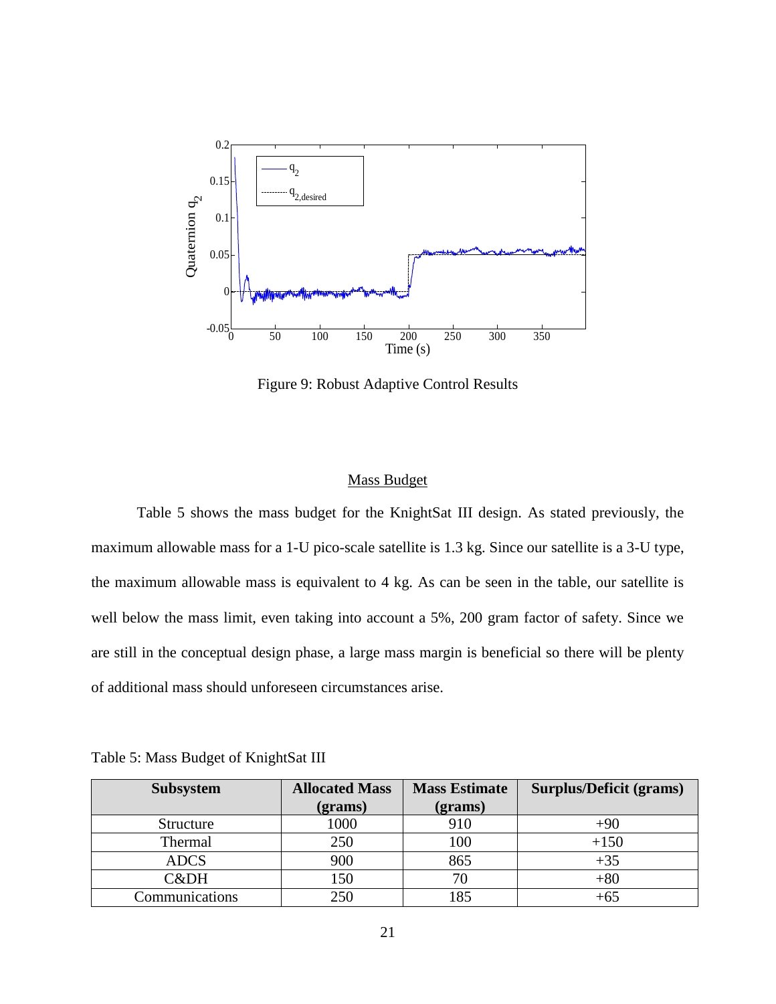

Figure 9: Robust Adaptive Control Results

#### Mass Budget

<span id="page-30-1"></span><span id="page-30-0"></span>Table 5 shows the mass budget for the KnightSat III design. As stated previously, the maximum allowable mass for a 1-U pico-scale satellite is 1.3 kg. Since our satellite is a 3-U type, the maximum allowable mass is equivalent to 4 kg. As can be seen in the table, our satellite is well below the mass limit, even taking into account a 5%, 200 gram factor of safety. Since we are still in the conceptual design phase, a large mass margin is beneficial so there will be plenty of additional mass should unforeseen circumstances arise.

| <b>Subsystem</b> | <b>Allocated Mass</b> | <b>Mass Estimate</b> | Surplus/Deficit (grams) |
|------------------|-----------------------|----------------------|-------------------------|
|                  | (grams)               | (grams)              |                         |
| Structure        | 1000                  | 910                  | $+90$                   |
| Thermal          | 250                   | 100                  | $+150$                  |
| <b>ADCS</b>      | 900                   | 865                  | $+35$                   |
| C&DH             | 150                   |                      | $+80$                   |
| Communications   | 250                   | 185                  | $+65$                   |

<span id="page-30-2"></span>Table 5: Mass Budget of KnightSat III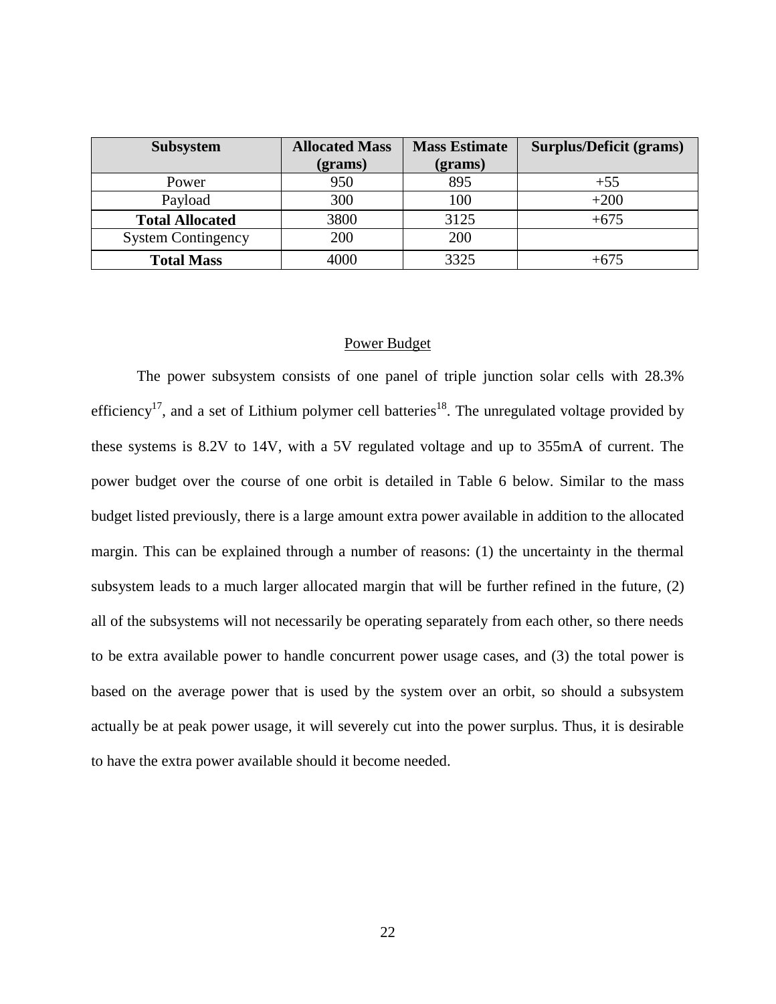| <b>Subsystem</b>          | <b>Allocated Mass</b> | <b>Mass Estimate</b> | <b>Surplus/Deficit (grams)</b> |
|---------------------------|-----------------------|----------------------|--------------------------------|
|                           | $2 (grams)$           | $2 (grams)$          |                                |
| Power                     | 950                   | 895                  | $+55$                          |
| Payload                   | 300                   | 100                  | $+200$                         |
| <b>Total Allocated</b>    | 3800                  | 3125                 | $+675$                         |
| <b>System Contingency</b> | 200                   | 200                  |                                |
| <b>Total Mass</b>         | 4000                  | 3325                 | $+675$                         |

### Power Budget

<span id="page-31-0"></span>The power subsystem consists of one panel of triple junction solar cells with 28.3% efficiency<sup>17</sup>, and a set of Lithium polymer cell batteries<sup>18</sup>. The unregulated voltage provided by these systems is 8.2V to 14V, with a 5V regulated voltage and up to 355mA of current. The power budget over the course of one orbit is detailed in Table 6 below. Similar to the mass budget listed previously, there is a large amount extra power available in addition to the allocated margin. This can be explained through a number of reasons: (1) the uncertainty in the thermal subsystem leads to a much larger allocated margin that will be further refined in the future, (2) all of the subsystems will not necessarily be operating separately from each other, so there needs to be extra available power to handle concurrent power usage cases, and (3) the total power is based on the average power that is used by the system over an orbit, so should a subsystem actually be at peak power usage, it will severely cut into the power surplus. Thus, it is desirable to have the extra power available should it become needed.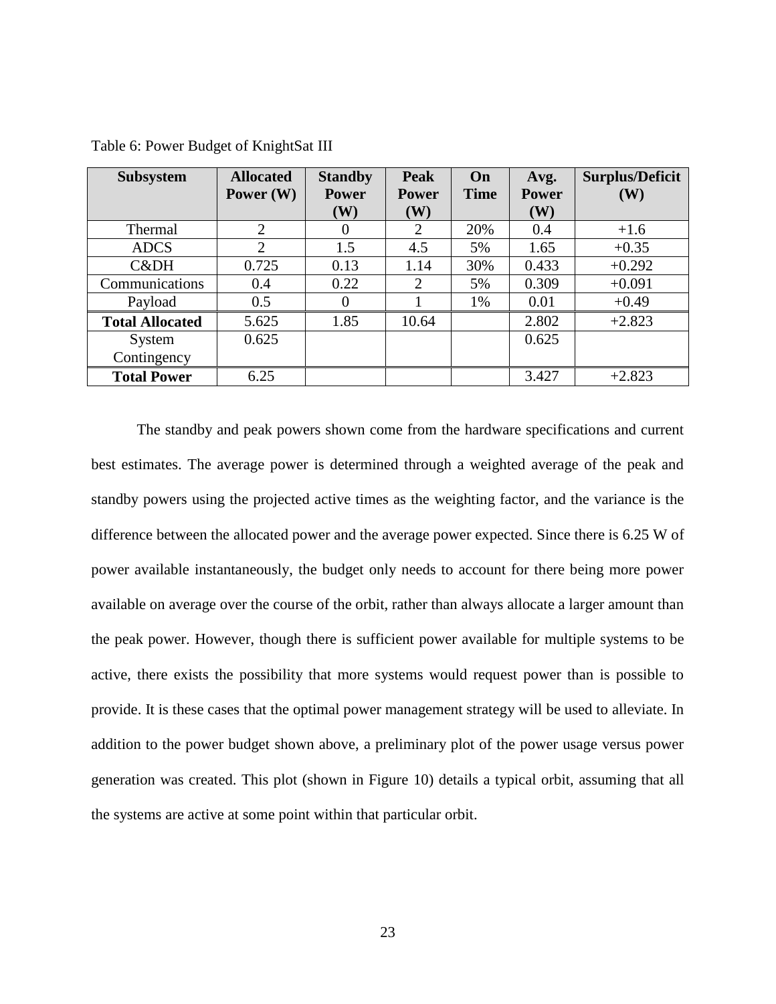| <b>Subsystem</b>       | <b>Allocated</b> | <b>Standby</b> | <b>Peak</b>  | On          | Avg.         | <b>Surplus/Deficit</b> |
|------------------------|------------------|----------------|--------------|-------------|--------------|------------------------|
|                        | Power $(W)$      | <b>Power</b>   | <b>Power</b> | <b>Time</b> | <b>Power</b> | (W)                    |
|                        |                  | (W)            | (W)          |             | (W)          |                        |
| Thermal                | 2                | $\Omega$       | 2            | 20%         | 0.4          | $+1.6$                 |
| <b>ADCS</b>            | 2                | 1.5            | 4.5          | 5%          | 1.65         | $+0.35$                |
| C&DH                   | 0.725            | 0.13           | 1.14         | 30%         | 0.433        | $+0.292$               |
| Communications         | 0.4              | 0.22           | 2            | 5%          | 0.309        | $+0.091$               |
| Payload                | 0.5              | $\Omega$       |              | 1%          | 0.01         | $+0.49$                |
| <b>Total Allocated</b> | 5.625            | 1.85           | 10.64        |             | 2.802        | $+2.823$               |
| System                 | 0.625            |                |              |             | 0.625        |                        |
| Contingency            |                  |                |              |             |              |                        |
| <b>Total Power</b>     | 6.25             |                |              |             | 3.427        | $+2.823$               |

<span id="page-32-0"></span>Table 6: Power Budget of KnightSat III

The standby and peak powers shown come from the hardware specifications and current best estimates. The average power is determined through a weighted average of the peak and standby powers using the projected active times as the weighting factor, and the variance is the difference between the allocated power and the average power expected. Since there is 6.25 W of power available instantaneously, the budget only needs to account for there being more power available on average over the course of the orbit, rather than always allocate a larger amount than the peak power. However, though there is sufficient power available for multiple systems to be active, there exists the possibility that more systems would request power than is possible to provide. It is these cases that the optimal power management strategy will be used to alleviate. In addition to the power budget shown above, a preliminary plot of the power usage versus power generation was created. This plot (shown in Figure 10) details a typical orbit, assuming that all the systems are active at some point within that particular orbit.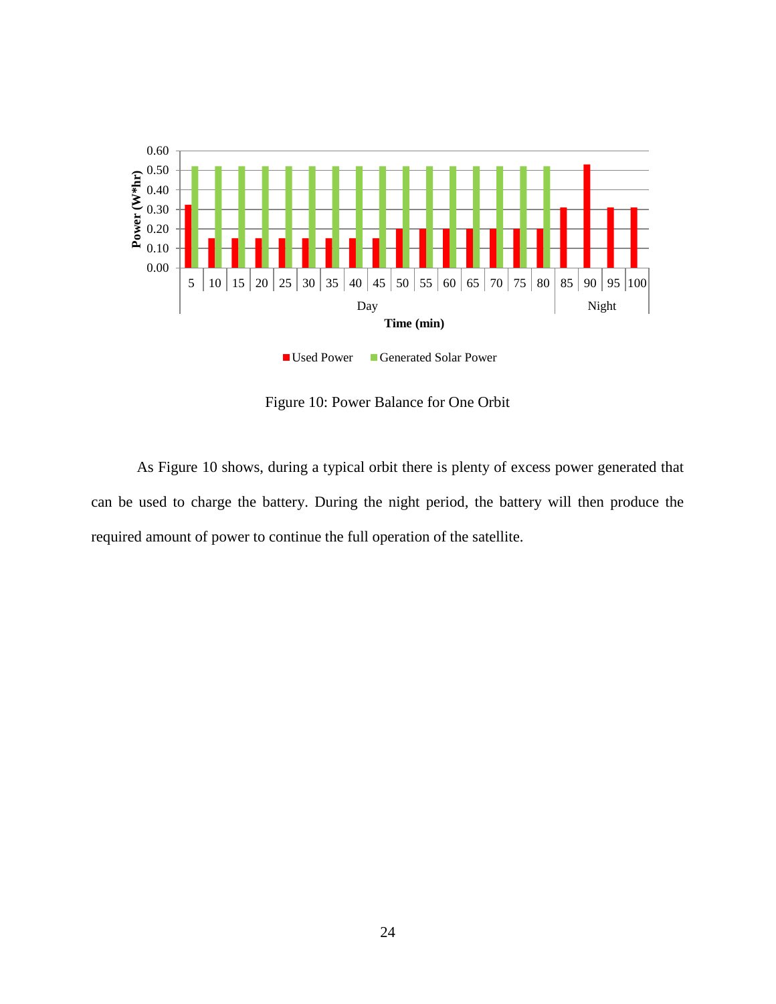

Figure 10: Power Balance for One Orbit

<span id="page-33-0"></span>As Figure 10 shows, during a typical orbit there is plenty of excess power generated that can be used to charge the battery. During the night period, the battery will then produce the required amount of power to continue the full operation of the satellite.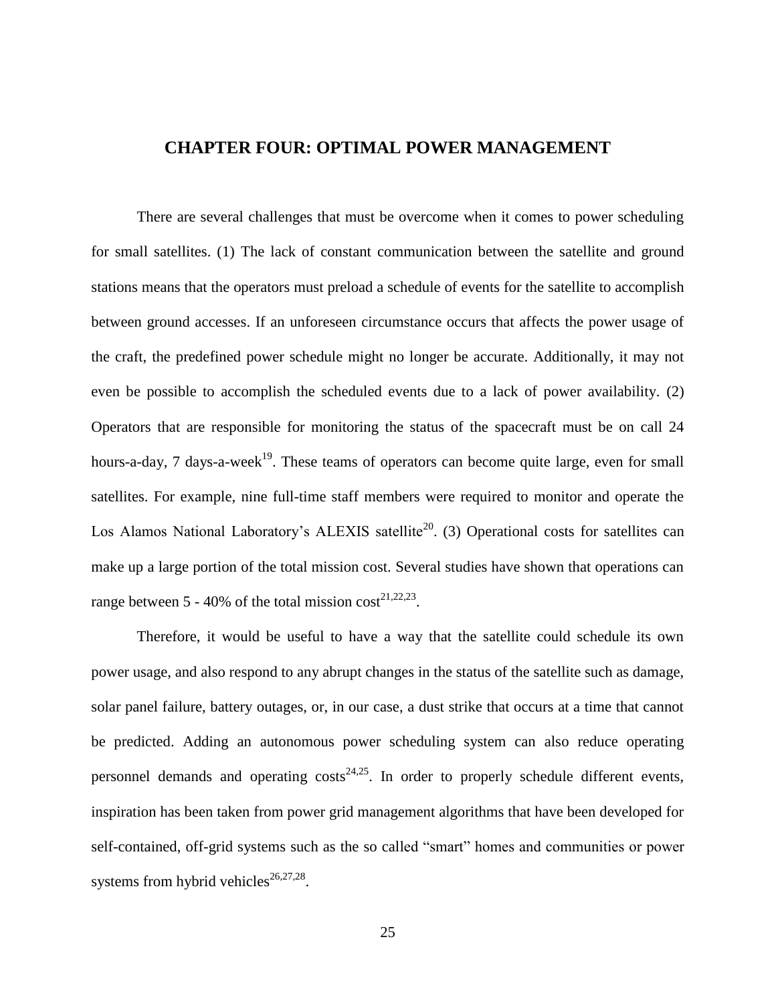## **CHAPTER FOUR: OPTIMAL POWER MANAGEMENT**

<span id="page-34-0"></span>There are several challenges that must be overcome when it comes to power scheduling for small satellites. (1) The lack of constant communication between the satellite and ground stations means that the operators must preload a schedule of events for the satellite to accomplish between ground accesses. If an unforeseen circumstance occurs that affects the power usage of the craft, the predefined power schedule might no longer be accurate. Additionally, it may not even be possible to accomplish the scheduled events due to a lack of power availability. (2) Operators that are responsible for monitoring the status of the spacecraft must be on call 24 hours-a-day, 7 days-a-week<sup>19</sup>. These teams of operators can become quite large, even for small satellites. For example, nine full-time staff members were required to monitor and operate the Los Alamos National Laboratory's ALEXIS satellite<sup>20</sup>. (3) Operational costs for satellites can make up a large portion of the total mission cost. Several studies have shown that operations can range between 5 - 40% of the total mission  $cost^{21,22,23}$ .

Therefore, it would be useful to have a way that the satellite could schedule its own power usage, and also respond to any abrupt changes in the status of the satellite such as damage, solar panel failure, battery outages, or, in our case, a dust strike that occurs at a time that cannot be predicted. Adding an autonomous power scheduling system can also reduce operating personnel demands and operating  $costs^{24,25}$ . In order to properly schedule different events, inspiration has been taken from power grid management algorithms that have been developed for self-contained, off-grid systems such as the so called "smart" homes and communities or power systems from hybrid vehicles $26,27,28$ .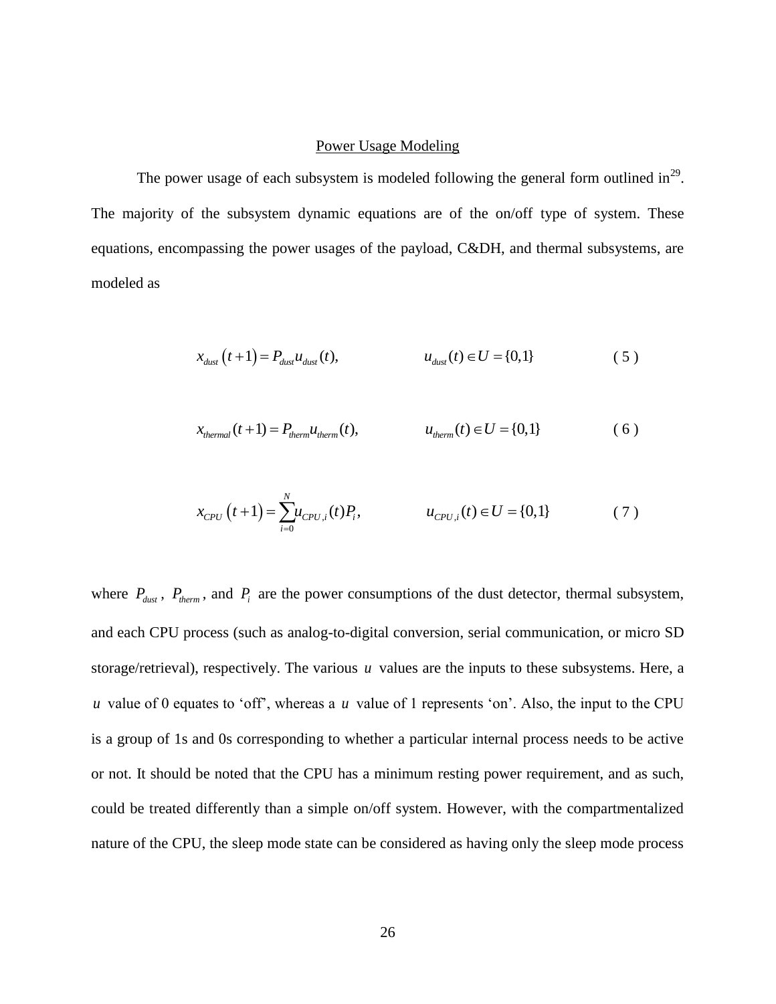#### Power Usage Modeling

<span id="page-35-0"></span>The power usage of each subsystem is modeled following the general form outlined in<sup>29</sup>. The majority of the subsystem dynamic equations are of the on/off type of system. These equations, encompassing the power usages of the payload, C&DH, and thermal subsystems, are modeled as

$$
x_{dust}(t+1) = P_{dust} u_{dust}(t), \qquad u_{dust}(t) \in U = \{0,1\}
$$
 (5)

$$
x_{thermal}(t+1) = P_{thermal}(t), \qquad u_{thermal}(t) \in U = \{0,1\}
$$
 (6)

$$
x_{CPU}(t+1) = \sum_{i=0}^{N} u_{CPU,i}(t) P_i, \qquad u_{CPU,i}(t) \in U = \{0, 1\}
$$
 (7)

where  $P_{\text{dust}}$ ,  $P_{\text{therm}}$ , and  $P_i$  are the power consumptions of the dust detector, thermal subsystem, and each CPU process (such as analog-to-digital conversion, serial communication, or micro SD storage/retrieval), respectively. The various *u* values are the inputs to these subsystems. Here, a *u* value of 0 equates to 'off', whereas a *u* value of 1 represents 'on'. Also, the input to the CPU is a group of 1s and 0s corresponding to whether a particular internal process needs to be active or not. It should be noted that the CPU has a minimum resting power requirement, and as such, could be treated differently than a simple on/off system. However, with the compartmentalized nature of the CPU, the sleep mode state can be considered as having only the sleep mode process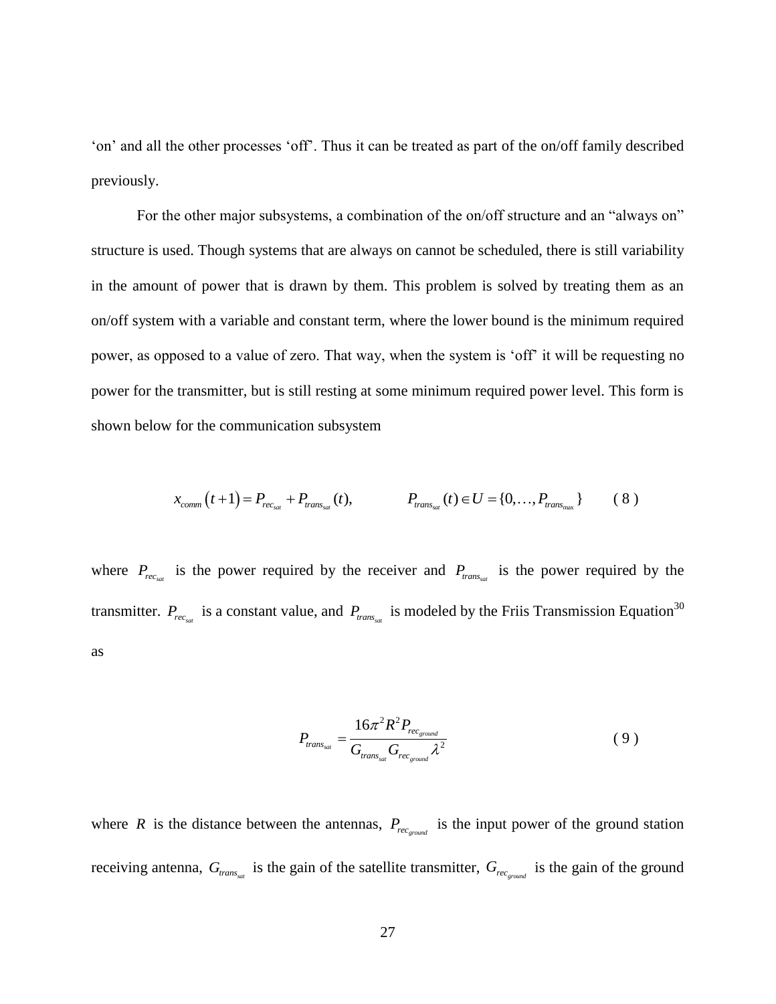'on' and all the other processes 'off'. Thus it can be treated as part of the on/off family described previously.

For the other major subsystems, a combination of the on/off structure and an "always on" structure is used. Though systems that are always on cannot be scheduled, there is still variability in the amount of power that is drawn by them. This problem is solved by treating them as an on/off system with a variable and constant term, where the lower bound is the minimum required power, as opposed to a value of zero. That way, when the system is 'off' it will be requesting no power for the transmitter, but is still resting at some minimum required power level. This form is shown below for the communication subsystem

$$
x_{comm}(t+1) = P_{rec_{sat}} + P_{trans_{sat}}(t), \qquad P_{trans_{sat}}(t) \in U = \{0, ..., P_{trans_{max}}\}
$$
 (8)

where  $P_{rec_{sat}}$  is the power required by the receiver and  $P_{trans_{sat}}$  is the power required by the transmitter.  $P_{rec_{sat}}$  is a constant value, and  $P_{trans_{sat}}$  is modeled by the Friis Transmission Equation<sup>30</sup> as

$$
P_{trans_{sat}} = \frac{16\pi^2 R^2 P_{rec_{ground}}}{G_{trans_{sat}} G_{rec_{ground}} \lambda^2}
$$
 (9)

where R is the distance between the antennas,  $P_{rec_{ground}}$  is the input power of the ground station receiving antenna,  $G_{trans_{sat}}$  is the gain of the satellite transmitter,  $G_{rec_{ground}}$  is the gain of the ground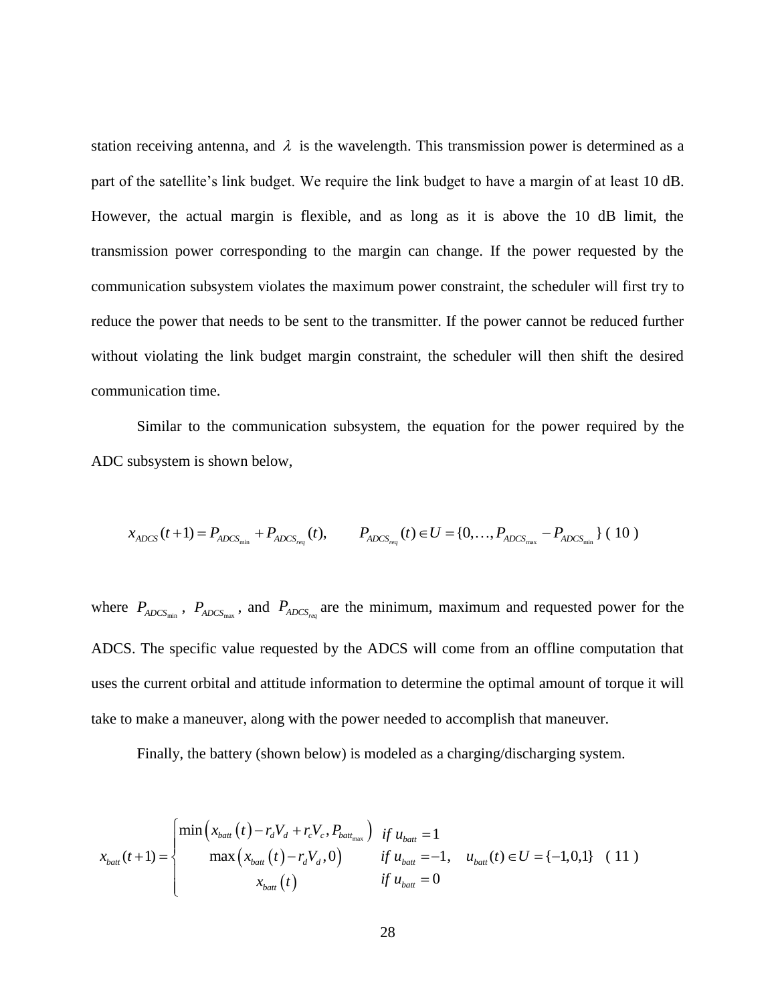station receiving antenna, and  $\lambda$  is the wavelength. This transmission power is determined as a part of the satellite's link budget. We require the link budget to have a margin of at least 10 dB. However, the actual margin is flexible, and as long as it is above the 10 dB limit, the transmission power corresponding to the margin can change. If the power requested by the communication subsystem violates the maximum power constraint, the scheduler will first try to reduce the power that needs to be sent to the transmitter. If the power cannot be reduced further without violating the link budget margin constraint, the scheduler will then shift the desired communication time.

Similar to the communication subsystem, the equation for the power required by the ADC subsystem is shown below,

$$
x_{ADCS}(t+1) = P_{ADCS_{min}} + P_{ADCS_{req}}(t), \qquad P_{ADCS_{req}}(t) \in U = \{0, ..., P_{ADCS_{max}} - P_{ADCS_{min}}\} (10)
$$

where  $P_{ADCS_{min}}$ ,  $P_{ADCS_{max}}$ , and  $P_{ADCS_{req}}$  are the minimum, maximum and requested power for the ADCS. The specific value requested by the ADCS will come from an offline computation that uses the current orbital and attitude information to determine the optimal amount of torque it will take to make a maneuver, along with the power needed to accomplish that maneuver.

Finally, the battery (shown below) is modeled as a charging/discharging system.

$$
x_{\text{batt}}(t+1) = \begin{cases} \min\left(x_{\text{batt}}(t) - r_d V_d + r_c V_c, P_{\text{batt}_{\text{max}}}\right) & \text{if } u_{\text{batt}} = 1\\ \max\left(x_{\text{batt}}(t) - r_d V_d, 0\right) & \text{if } u_{\text{batt}} = -1, u_{\text{batt}}(t) \in U = \{-1, 0, 1\} \end{cases} \quad (11)
$$
  

$$
x_{\text{batt}}(t)
$$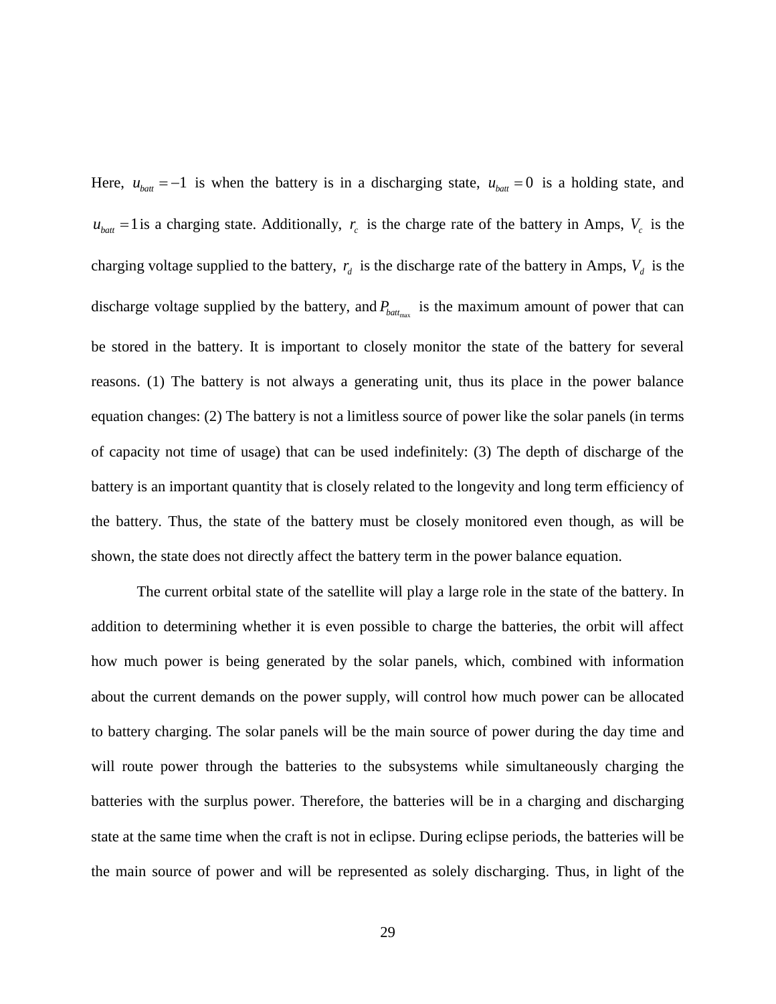Here,  $u_{\text{batt}} = -1$  is when the battery is in a discharging state,  $u_{\text{batt}} = 0$  is a holding state, and  $u_{\text{batt}} = 1$  is a charging state. Additionally,  $r_c$  is the charge rate of the battery in Amps,  $V_c$  is the charging voltage supplied to the battery,  $r_d$  is the discharge rate of the battery in Amps,  $V_d$  is the discharge voltage supplied by the battery, and  $P_{\text{batt}_{\text{max}}}$  is the maximum amount of power that can be stored in the battery. It is important to closely monitor the state of the battery for several reasons. (1) The battery is not always a generating unit, thus its place in the power balance equation changes: (2) The battery is not a limitless source of power like the solar panels (in terms of capacity not time of usage) that can be used indefinitely: (3) The depth of discharge of the battery is an important quantity that is closely related to the longevity and long term efficiency of the battery. Thus, the state of the battery must be closely monitored even though, as will be shown, the state does not directly affect the battery term in the power balance equation.

The current orbital state of the satellite will play a large role in the state of the battery. In addition to determining whether it is even possible to charge the batteries, the orbit will affect how much power is being generated by the solar panels, which, combined with information about the current demands on the power supply, will control how much power can be allocated to battery charging. The solar panels will be the main source of power during the day time and will route power through the batteries to the subsystems while simultaneously charging the batteries with the surplus power. Therefore, the batteries will be in a charging and discharging state at the same time when the craft is not in eclipse. During eclipse periods, the batteries will be the main source of power and will be represented as solely discharging. Thus, in light of the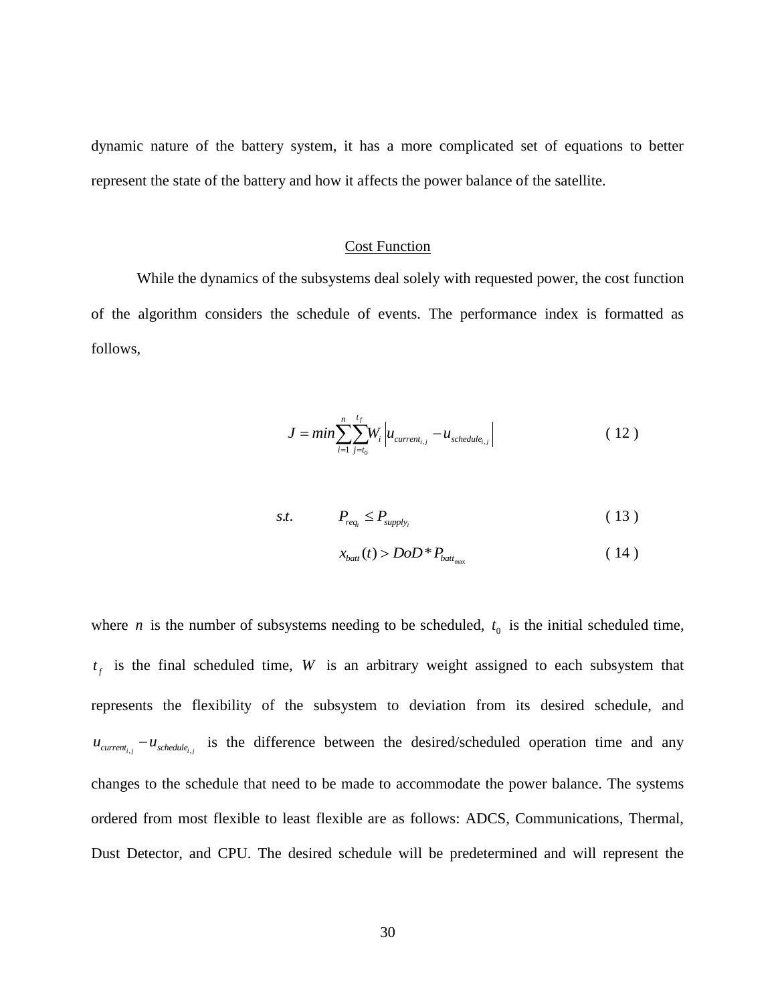dynamic nature of the battery system, it has a more complicated set of equations to better represent the state of the battery and how it affects the power balance of the satellite.

#### Cost Function

<span id="page-39-0"></span>While the dynamics of the subsystems deal solely with requested power, the cost function of the algorithm considers the schedule of events. The performance index is formatted as follows,

$$
J = min \sum_{i=1}^{n} \sum_{j=t_0}^{t_f} W_i \left| u_{current_{i,j}} - u_{schedule_{i,j}} \right|
$$
 (12)

$$
s.t. \t P_{req_i} \leq P_{supply_i} \t (13)
$$

$$
x_{\text{batt}}(t) > DoD * P_{\text{batt}_{\text{max}}} \tag{14}
$$

where *n* is the number of subsystems needing to be scheduled,  $t_0$  is the initial scheduled time,  $t_f$  is the final scheduled time, W is an arbitrary weight assigned to each subsystem that represents the flexibility of the subsystem to deviation from its desired schedule, and  $u_{\text{current}_{i,j}} - u_{\text{schedule}_{i,j}}$  is the difference between the desired/scheduled operation time and any changes to the schedule that need to be made to accommodate the power balance. The systems ordered from most flexible to least flexible are as follows: ADCS, Communications, Thermal, Dust Detector, and CPU. The desired schedule will be predetermined and will represent the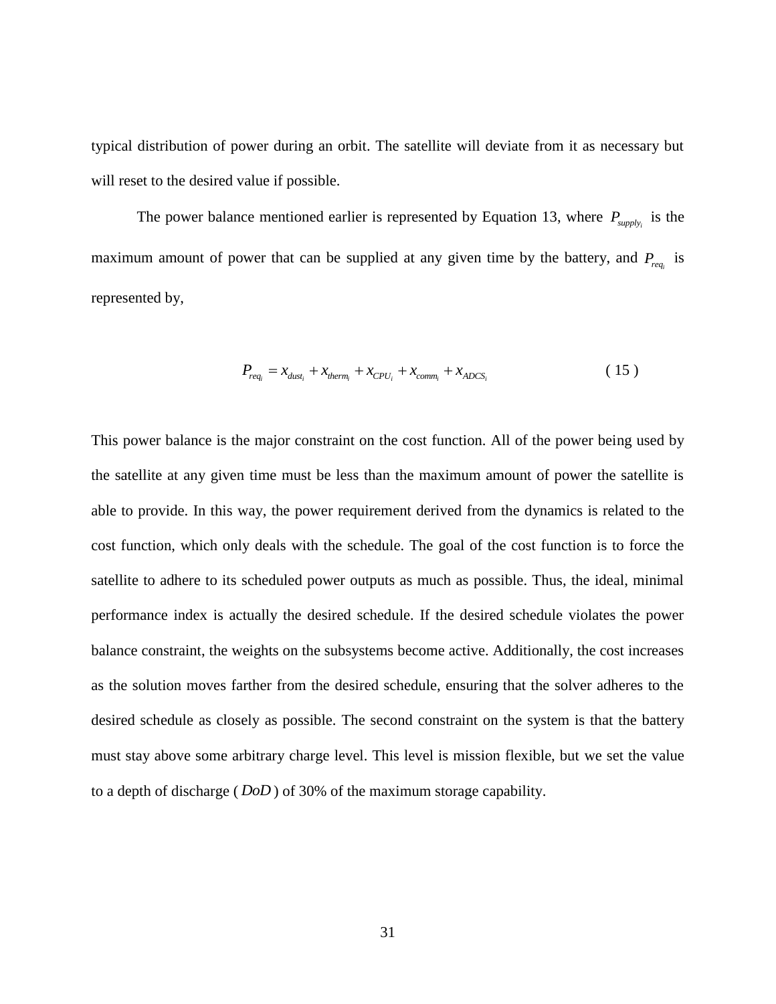typical distribution of power during an orbit. The satellite will deviate from it as necessary but will reset to the desired value if possible.

The power balance mentioned earlier is represented by Equation 13, where  $P_{\text{supply}_i}$  is the maximum amount of power that can be supplied at any given time by the battery, and  $P_{req_i}$  is represented by,

$$
P_{req_i} = x_{dust_i} + x_{therm_i} + x_{CPU_i} + x_{comm_i} + x_{ADCS_i}
$$
 (15)

This power balance is the major constraint on the cost function. All of the power being used by the satellite at any given time must be less than the maximum amount of power the satellite is able to provide. In this way, the power requirement derived from the dynamics is related to the cost function, which only deals with the schedule. The goal of the cost function is to force the satellite to adhere to its scheduled power outputs as much as possible. Thus, the ideal, minimal performance index is actually the desired schedule. If the desired schedule violates the power balance constraint, the weights on the subsystems become active. Additionally, the cost increases as the solution moves farther from the desired schedule, ensuring that the solver adheres to the desired schedule as closely as possible. The second constraint on the system is that the battery must stay above some arbitrary charge level. This level is mission flexible, but we set the value to a depth of discharge ( *DoD* ) of 30% of the maximum storage capability.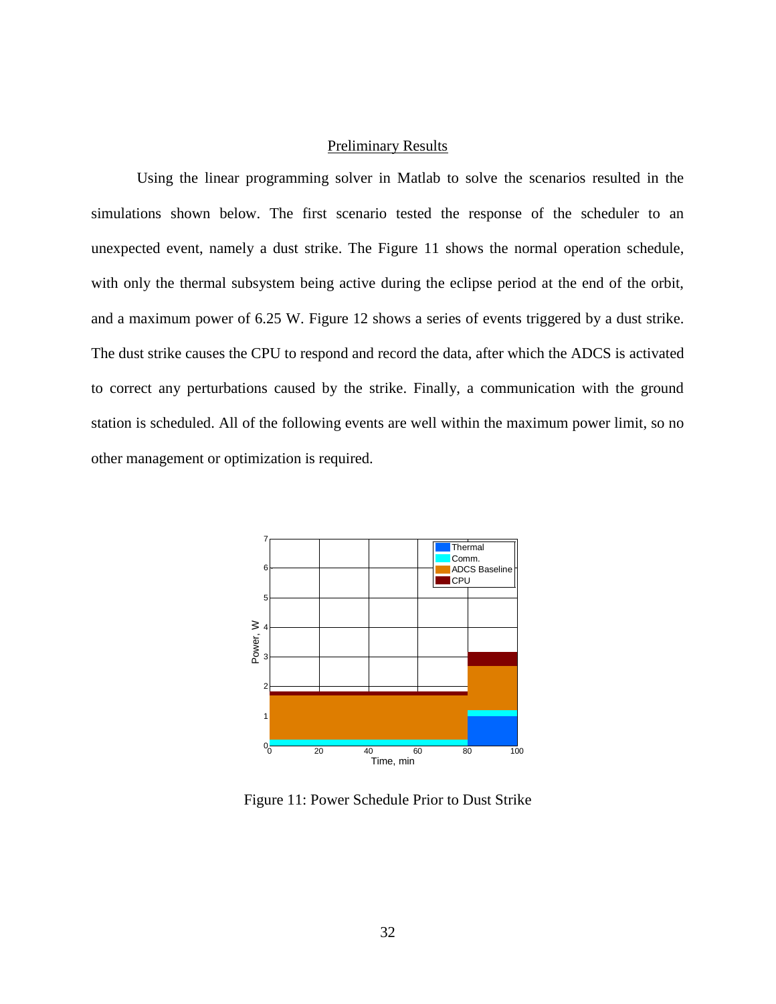#### Preliminary Results

<span id="page-41-0"></span>Using the linear programming solver in Matlab to solve the scenarios resulted in the simulations shown below. The first scenario tested the response of the scheduler to an unexpected event, namely a dust strike. The Figure 11 shows the normal operation schedule, with only the thermal subsystem being active during the eclipse period at the end of the orbit, and a maximum power of 6.25 W. Figure 12 shows a series of events triggered by a dust strike. The dust strike causes the CPU to respond and record the data, after which the ADCS is activated to correct any perturbations caused by the strike. Finally, a communication with the ground station is scheduled. All of the following events are well within the maximum power limit, so no other management or optimization is required.



<span id="page-41-1"></span>Figure 11: Power Schedule Prior to Dust Strike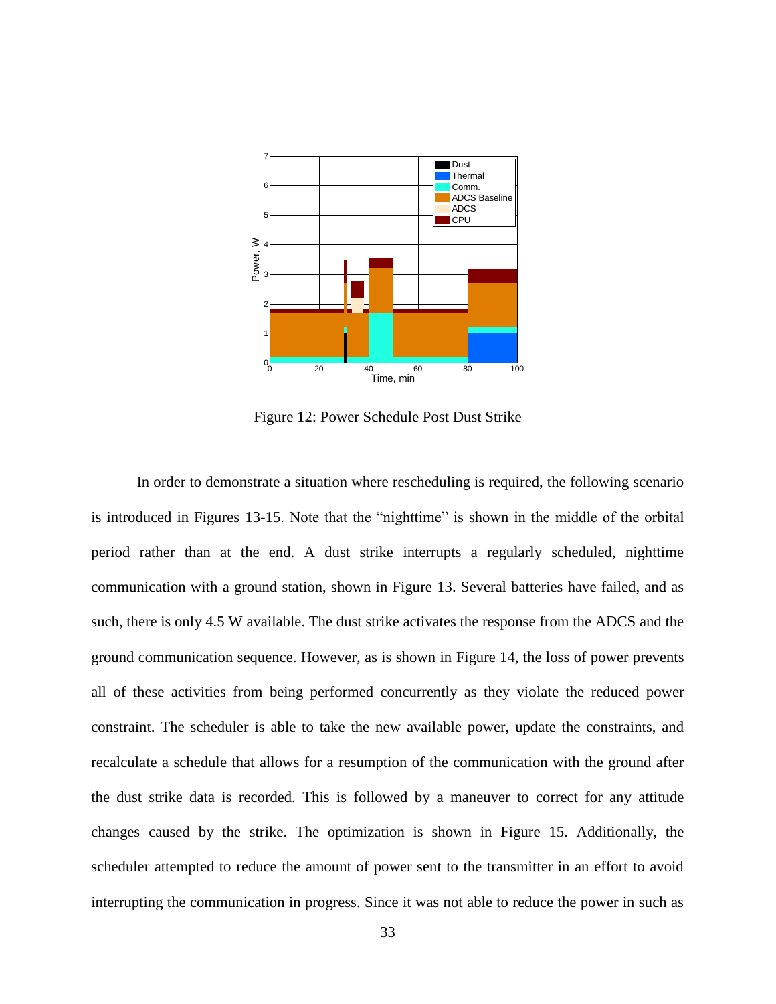

Figure 12: Power Schedule Post Dust Strike

<span id="page-42-0"></span>In order to demonstrate a situation where rescheduling is required, the following scenario is introduced in Figures 13-15. Note that the "nighttime" is shown in the middle of the orbital period rather than at the end. A dust strike interrupts a regularly scheduled, nighttime communication with a ground station, shown in Figure 13. Several batteries have failed, and as such, there is only 4.5 W available. The dust strike activates the response from the ADCS and the ground communication sequence. However, as is shown in Figure 14, the loss of power prevents all of these activities from being performed concurrently as they violate the reduced power constraint. The scheduler is able to take the new available power, update the constraints, and recalculate a schedule that allows for a resumption of the communication with the ground after the dust strike data is recorded. This is followed by a maneuver to correct for any attitude changes caused by the strike. The optimization is shown in Figure 15. Additionally, the scheduler attempted to reduce the amount of power sent to the transmitter in an effort to avoid interrupting the communication in progress. Since it was not able to reduce the power in such as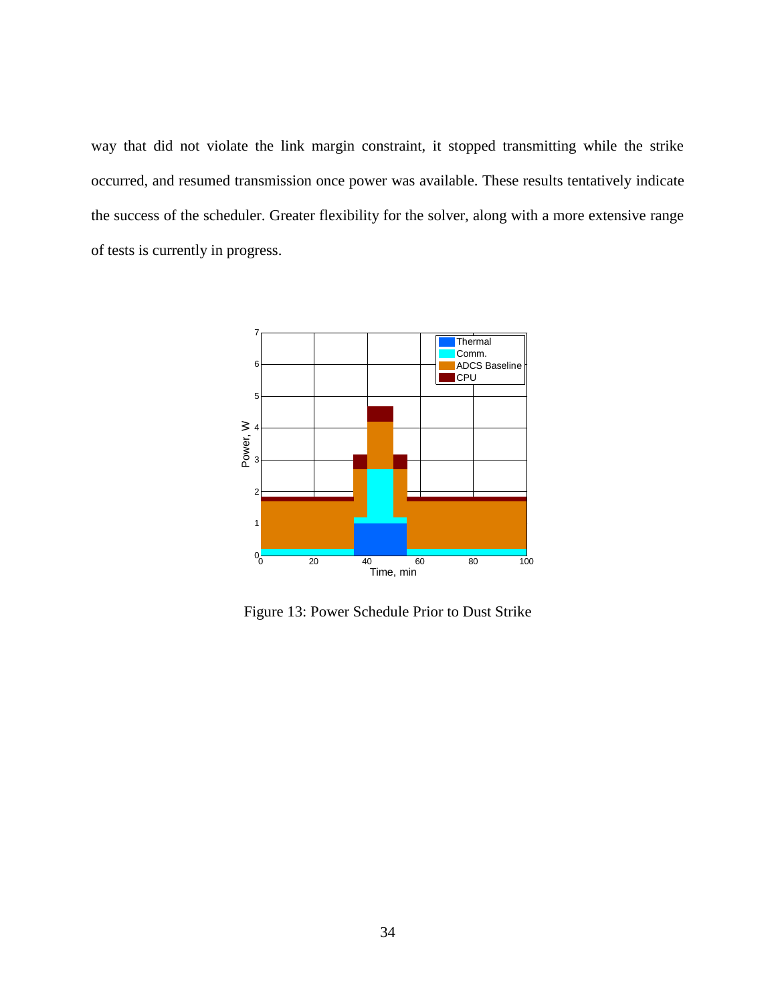way that did not violate the link margin constraint, it stopped transmitting while the strike occurred, and resumed transmission once power was available. These results tentatively indicate the success of the scheduler. Greater flexibility for the solver, along with a more extensive range of tests is currently in progress.



<span id="page-43-0"></span>Figure 13: Power Schedule Prior to Dust Strike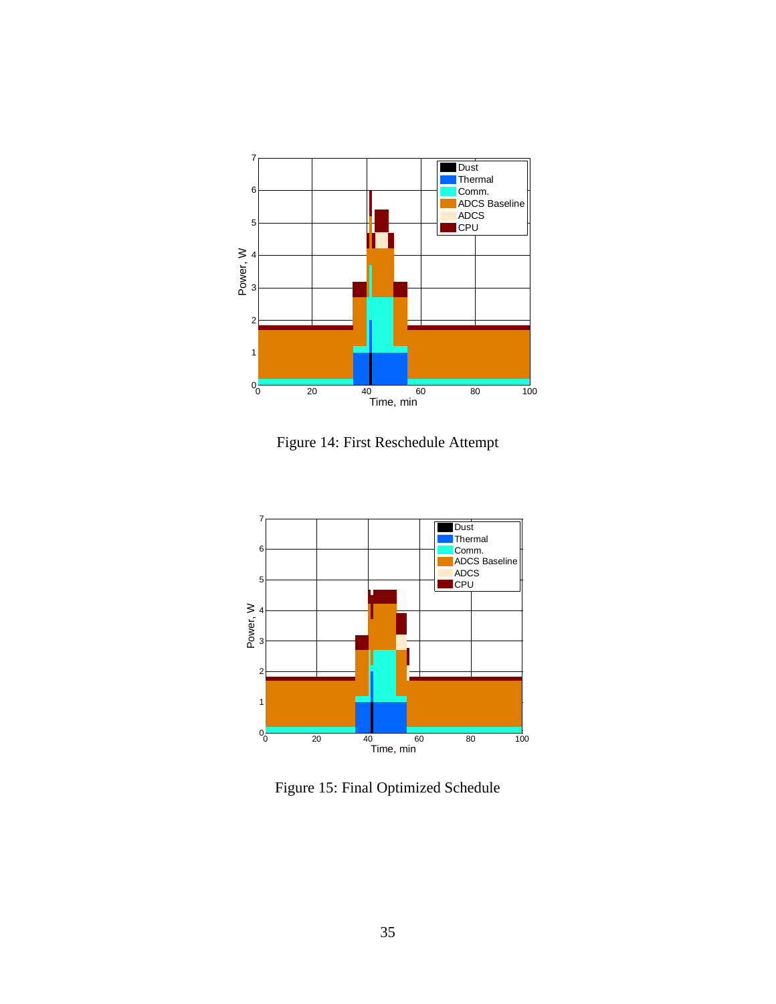

Figure 14: First Reschedule Attempt

<span id="page-44-0"></span>

<span id="page-44-1"></span>Figure 15: Final Optimized Schedule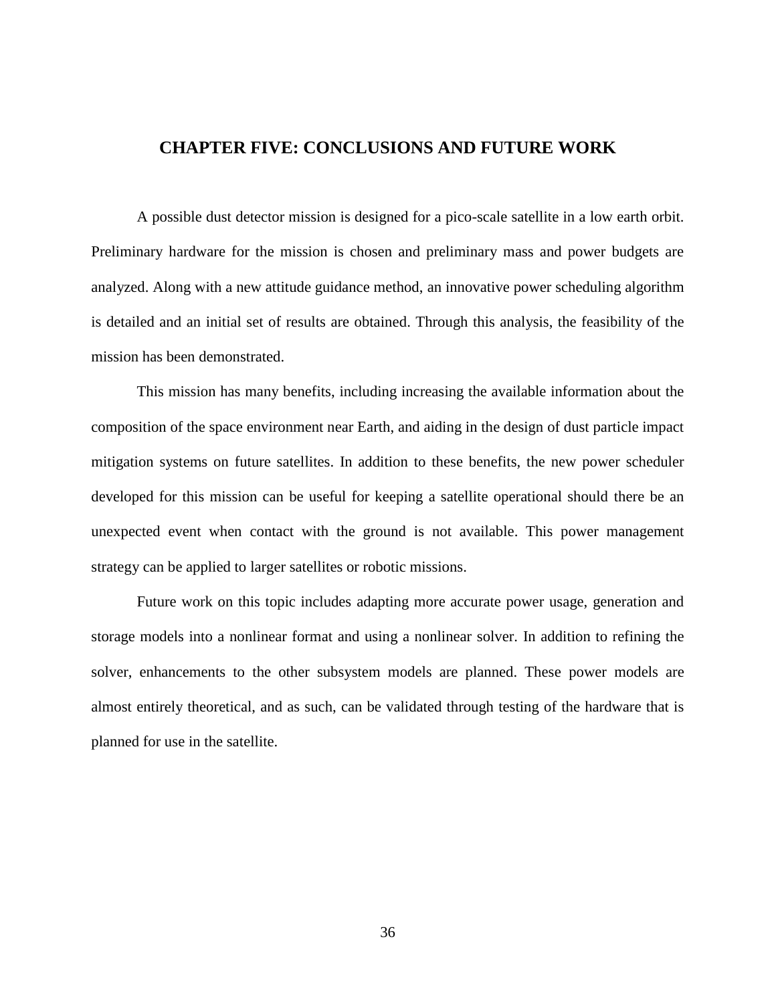## <span id="page-45-0"></span>**CHAPTER FIVE: CONCLUSIONS AND FUTURE WORK**

A possible dust detector mission is designed for a pico-scale satellite in a low earth orbit. Preliminary hardware for the mission is chosen and preliminary mass and power budgets are analyzed. Along with a new attitude guidance method, an innovative power scheduling algorithm is detailed and an initial set of results are obtained. Through this analysis, the feasibility of the mission has been demonstrated.

This mission has many benefits, including increasing the available information about the composition of the space environment near Earth, and aiding in the design of dust particle impact mitigation systems on future satellites. In addition to these benefits, the new power scheduler developed for this mission can be useful for keeping a satellite operational should there be an unexpected event when contact with the ground is not available. This power management strategy can be applied to larger satellites or robotic missions.

Future work on this topic includes adapting more accurate power usage, generation and storage models into a nonlinear format and using a nonlinear solver. In addition to refining the solver, enhancements to the other subsystem models are planned. These power models are almost entirely theoretical, and as such, can be validated through testing of the hardware that is planned for use in the satellite.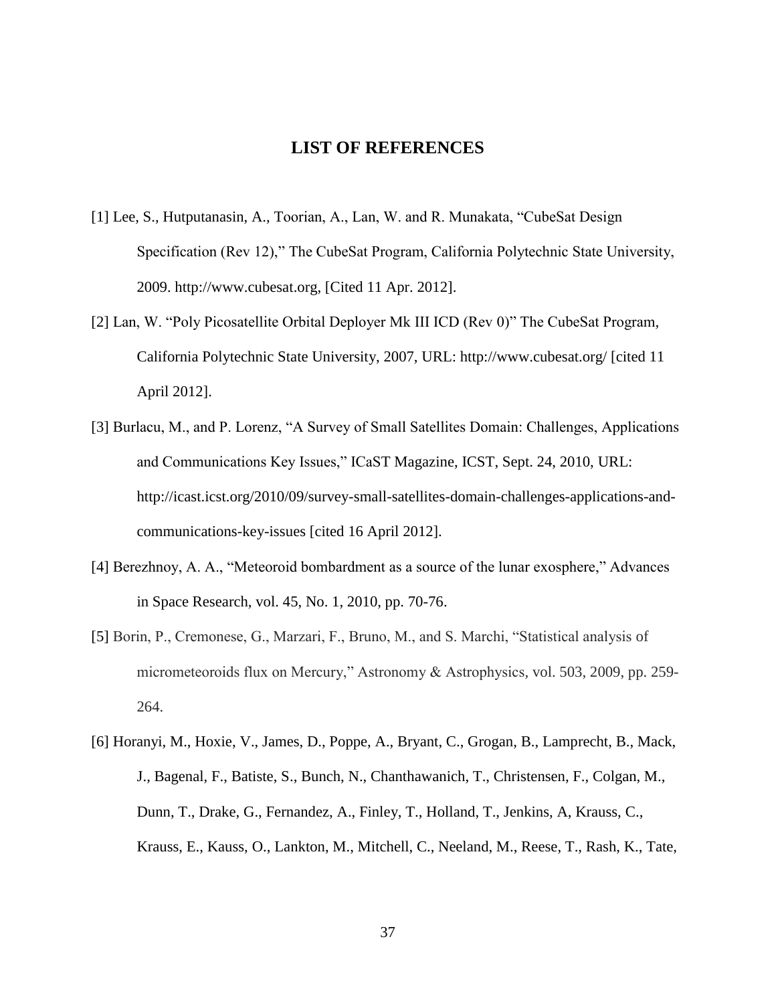## **LIST OF REFERENCES**

- <span id="page-46-0"></span>[1] Lee, S., Hutputanasin, A., Toorian, A., Lan, W. and R. Munakata, "CubeSat Design Specification (Rev 12)," The CubeSat Program, California Polytechnic State University, 2009. http://www.cubesat.org, [Cited 11 Apr. 2012].
- [2] Lan, W. "Poly Picosatellite Orbital Deployer Mk III ICD (Rev 0)" The CubeSat Program*,*  California Polytechnic State University, 2007, URL: http://www.cubesat.org/ [cited 11 April 2012].
- [3] Burlacu, M., and P. Lorenz, "A Survey of Small Satellites Domain: Challenges, Applications and Communications Key Issues," ICaST Magazine, ICST, Sept. 24, 2010, URL: http://icast.icst.org/2010/09/survey-small-satellites-domain-challenges-applications-andcommunications-key-issues [cited 16 April 2012].
- [4] Berezhnoy, A. A., "Meteoroid bombardment as a source of the lunar exosphere," Advances in Space Research*,* vol. 45, No. 1, 2010, pp. 70-76.
- [5] Borin, P., Cremonese, G., Marzari, F., Bruno, M., and S. Marchi, "Statistical analysis of micrometeoroids flux on Mercury," Astronomy & Astrophysics*,* vol. 503, 2009, pp. 259- 264.
- [6] Horanyi, M., Hoxie, V., James, D., Poppe, A., Bryant, C., Grogan, B., Lamprecht, B., Mack, J., Bagenal, F., Batiste, S., Bunch, N., Chanthawanich, T., Christensen, F., Colgan, M., Dunn, T., Drake, G., Fernandez, A., Finley, T., Holland, T., Jenkins, A, Krauss, C., Krauss, E., Kauss, O., Lankton, M., Mitchell, C., Neeland, M., Reese, T., Rash, K., Tate,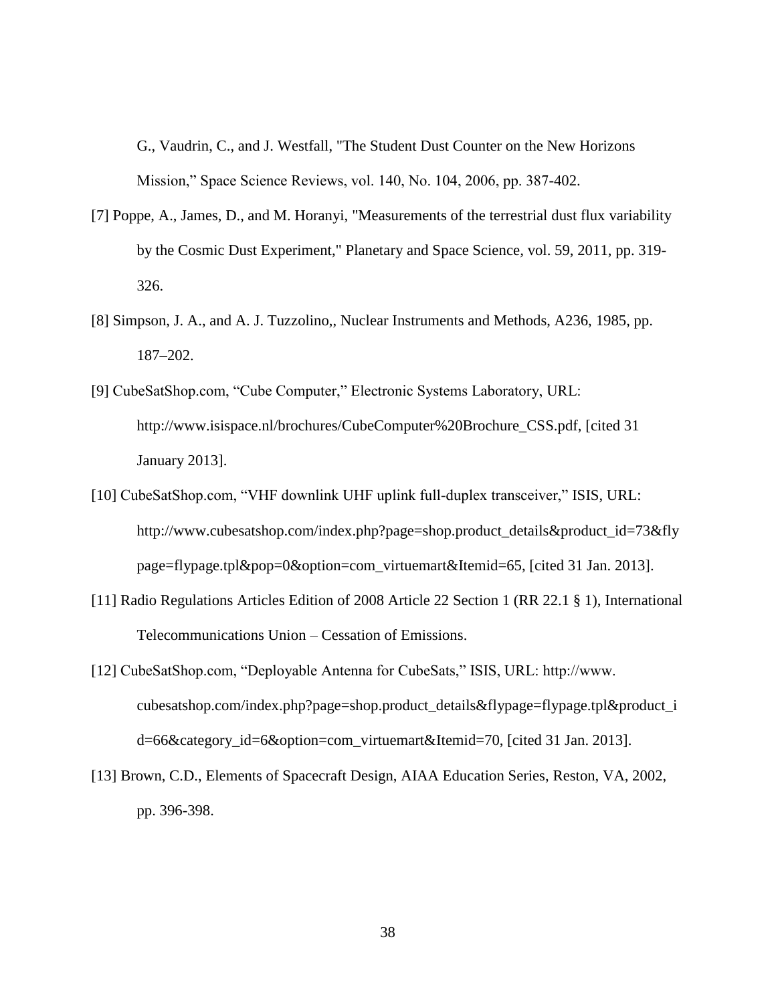G., Vaudrin, C., and J. Westfall, "The Student Dust Counter on the New Horizons Mission," Space Science Reviews, vol. 140, No. 104, 2006, pp. 387-402.

- [7] Poppe, A., James, D., and M. Horanyi, "Measurements of the terrestrial dust flux variability by the Cosmic Dust Experiment," Planetary and Space Science*,* vol. 59, 2011, pp. 319- 326.
- [8] Simpson, J. A., and A. J. Tuzzolino,, Nuclear Instruments and Methods, A236, 1985, pp. 187–202.
- [9] CubeSatShop.com, "Cube Computer," Electronic Systems Laboratory, URL: http://www.isispace.nl/brochures/CubeComputer%20Brochure\_CSS.pdf, [cited 31 January 2013].
- [10] CubeSatShop.com, "VHF downlink UHF uplink full-duplex transceiver," ISIS, URL: http://www.cubesatshop.com/index.php?page=shop.product\_details&product\_id=73&fly page=flypage.tpl&pop=0&option=com\_virtuemart&Itemid=65, [cited 31 Jan. 2013].
- [11] Radio Regulations Articles Edition of 2008 Article 22 Section 1 (RR 22.1 § 1), International Telecommunications Union – Cessation of Emissions.
- [12] CubeSatShop.com, "Deployable Antenna for CubeSats," ISIS, URL: http://www. cubesatshop.com/index.php?page=shop.product\_details&flypage=flypage.tpl&product\_i d=66&category\_id=6&option=com\_virtuemart&Itemid=70, [cited 31 Jan. 2013].
- [13] Brown, C.D., Elements of Spacecraft Design, AIAA Education Series, Reston, VA, 2002, pp. 396-398.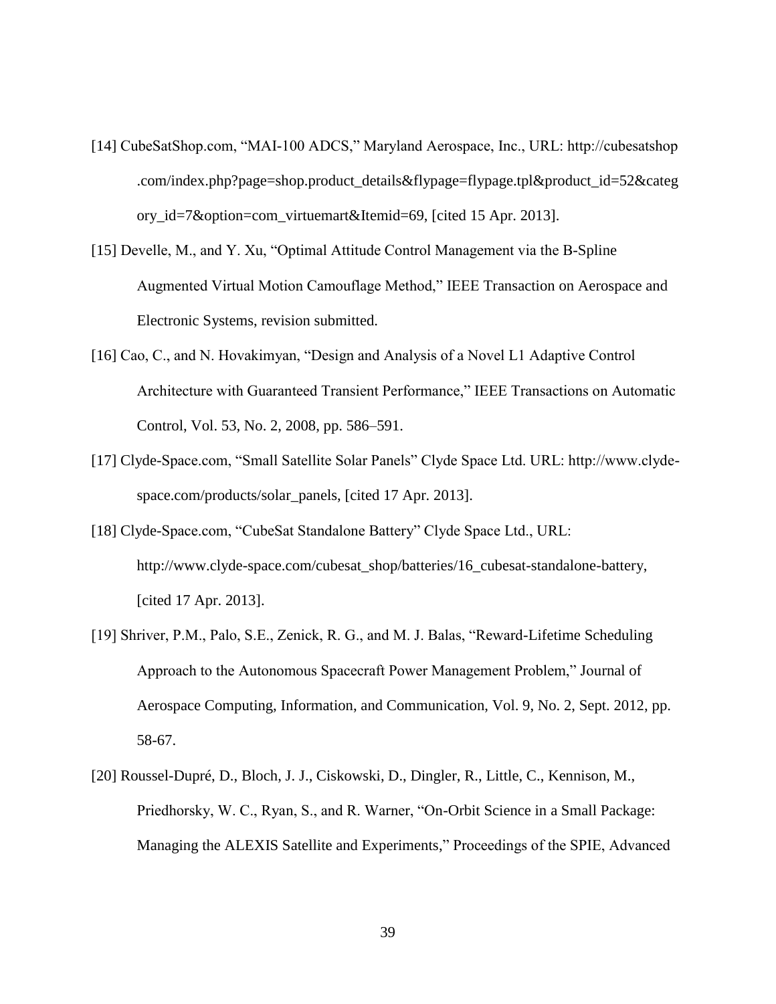- [14] CubeSatShop.com, "MAI-100 ADCS," Maryland Aerospace, Inc., URL: http://cubesatshop .com/index.php?page=shop.product\_details&flypage=flypage.tpl&product\_id=52&categ ory\_id=7&option=com\_virtuemart&Itemid=69, [cited 15 Apr. 2013].
- [15] Develle, M., and Y. Xu, "Optimal Attitude Control Management via the B-Spline Augmented Virtual Motion Camouflage Method," IEEE Transaction on Aerospace and Electronic Systems, revision submitted.
- [16] Cao, C., and N. Hovakimyan, "Design and Analysis of a Novel L1 Adaptive Control Architecture with Guaranteed Transient Performance," IEEE Transactions on Automatic Control, Vol. 53, No. 2, 2008, pp. 586–591.
- [17] Clyde-Space.com, "Small Satellite Solar Panels" Clyde Space Ltd. URL: http://www.clydespace.com/products/solar\_panels, [cited 17 Apr. 2013].
- [18] Clyde-Space.com, "CubeSat Standalone Battery" Clyde Space Ltd., URL: http://www.clyde-space.com/cubesat\_shop/batteries/16\_cubesat-standalone-battery, [cited 17 Apr. 2013].
- [19] Shriver, P.M., Palo, S.E., Zenick, R. G., and M. J. Balas, "Reward-Lifetime Scheduling Approach to the Autonomous Spacecraft Power Management Problem," Journal of Aerospace Computing, Information, and Communication, Vol. 9, No. 2, Sept. 2012, pp. 58-67.
- [20] Roussel-Dupré, D., Bloch, J. J., Ciskowski, D., Dingler, R., Little, C., Kennison, M., Priedhorsky, W. C., Ryan, S., and R. Warner, "On-Orbit Science in a Small Package: Managing the ALEXIS Satellite and Experiments," Proceedings of the SPIE, Advanced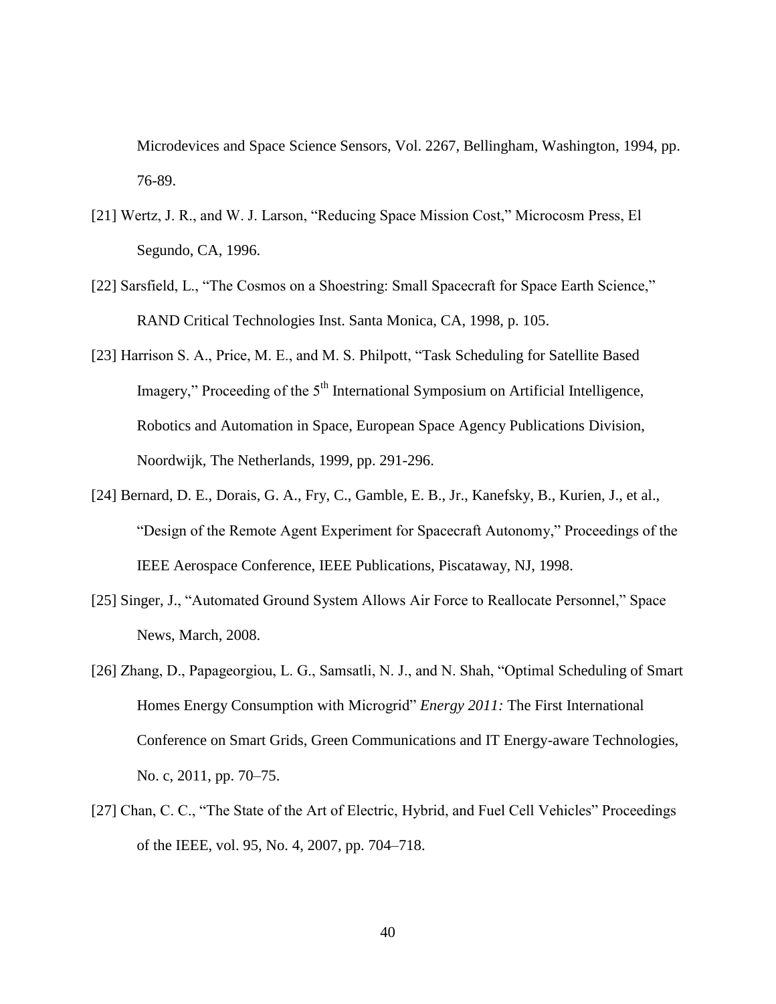Microdevices and Space Science Sensors, Vol. 2267, Bellingham, Washington, 1994, pp. 76-89.

- [21] Wertz, J. R., and W. J. Larson, "Reducing Space Mission Cost," Microcosm Press, El Segundo, CA, 1996.
- [22] Sarsfield, L., "The Cosmos on a Shoestring: Small Spacecraft for Space Earth Science," RAND Critical Technologies Inst. Santa Monica, CA, 1998, p. 105.
- [23] Harrison S. A., Price, M. E., and M. S. Philpott, "Task Scheduling for Satellite Based Imagery," Proceeding of the  $5<sup>th</sup>$  International Symposium on Artificial Intelligence, Robotics and Automation in Space, European Space Agency Publications Division, Noordwijk, The Netherlands, 1999, pp. 291-296.
- [24] Bernard, D. E., Dorais, G. A., Fry, C., Gamble, E. B., Jr., Kanefsky, B., Kurien, J., et al., "Design of the Remote Agent Experiment for Spacecraft Autonomy," Proceedings of the IEEE Aerospace Conference, IEEE Publications, Piscataway, NJ, 1998.
- [25] Singer, J., "Automated Ground System Allows Air Force to Reallocate Personnel," Space News, March, 2008.
- [26] Zhang, D., Papageorgiou, L. G., Samsatli, N. J., and N. Shah, "Optimal Scheduling of Smart Homes Energy Consumption with Microgrid" *Energy 2011:* The First International Conference on Smart Grids, Green Communications and IT Energy-aware Technologies, No. c, 2011, pp. 70–75.
- [27] Chan, C. C., "The State of the Art of Electric, Hybrid, and Fuel Cell Vehicles" Proceedings of the IEEE, vol. 95, No. 4, 2007, pp. 704–718.